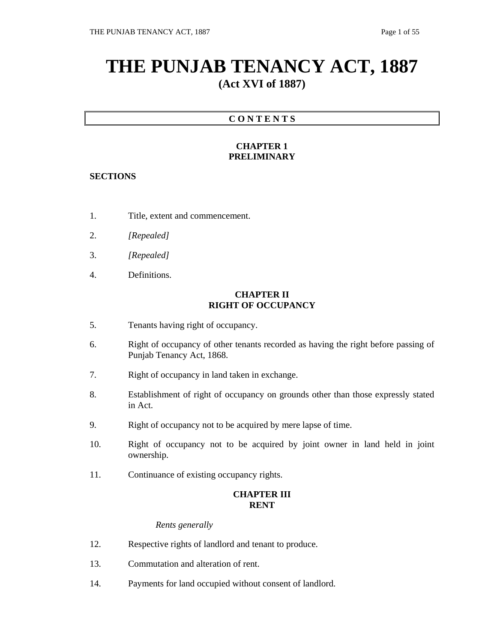# **THE PUNJAB TENANCY ACT, 1887 (Act XVI of 1887)**

# **C O N T E N T S**

# **CHAPTER 1 PRELIMINARY**

# **SECTIONS**

- 1. Title, extent and commencement.
- 2. *[Repealed]*
- 3. *[Repealed]*
- 4. Definitions.

# **CHAPTER II RIGHT OF OCCUPANCY**

- 5. Tenants having right of occupancy.
- 6. Right of occupancy of other tenants recorded as having the right before passing of Punjab Tenancy Act, 1868.
- 7. Right of occupancy in land taken in exchange.
- 8. Establishment of right of occupancy on grounds other than those expressly stated in Act.
- 9. Right of occupancy not to be acquired by mere lapse of time.
- 10. Right of occupancy not to be acquired by joint owner in land held in joint ownership.
- 11. Continuance of existing occupancy rights.

# **CHAPTER III RENT**

# *Rents generally*

- 12. Respective rights of landlord and tenant to produce.
- 13. Commutation and alteration of rent.
- 14. Payments for land occupied without consent of landlord.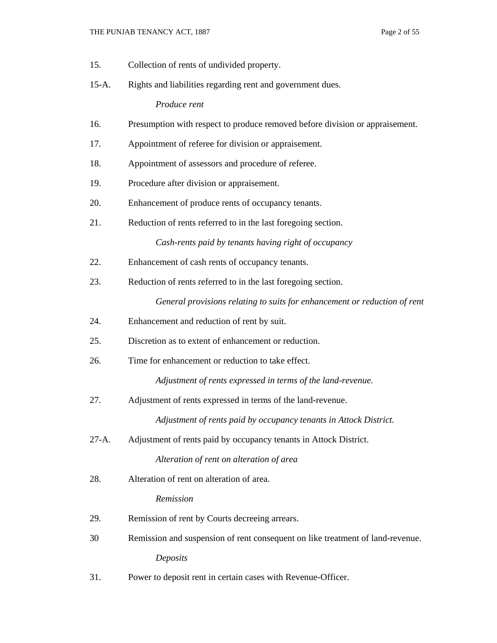- 15. Collection of rents of undivided property.
- 15-A. Rights and liabilities regarding rent and government dues.

 *Produce rent* 

- 16. Presumption with respect to produce removed before division or appraisement.
- 17. Appointment of referee for division or appraisement.
- 18. Appointment of assessors and procedure of referee.
- 19. Procedure after division or appraisement.
- 20. Enhancement of produce rents of occupancy tenants.
- 21. Reduction of rents referred to in the last foregoing section. *Cash-rents paid by tenants having right of occupancy*
- 22. Enhancement of cash rents of occupancy tenants.
- 23. Reduction of rents referred to in the last foregoing section.

*General provisions relating to suits for enhancement or reduction of rent*

- 24. Enhancement and reduction of rent by suit.
- 25. Discretion as to extent of enhancement or reduction.
- 26. Time for enhancement or reduction to take effect.

*Adjustment of rents expressed in terms of the land-revenue.*

27. Adjustment of rents expressed in terms of the land-revenue.

*Adjustment of rents paid by occupancy tenants in Attock District.*

27-A. Adjustment of rents paid by occupancy tenants in Attock District.

*Alteration of rent on alteration of area*

28. Alteration of rent on alteration of area.

#### *Remission*

- 29. Remission of rent by Courts decreeing arrears.
- 30 Remission and suspension of rent consequent on like treatment of land-revenue. *Deposits*
- 31. Power to deposit rent in certain cases with Revenue-Officer.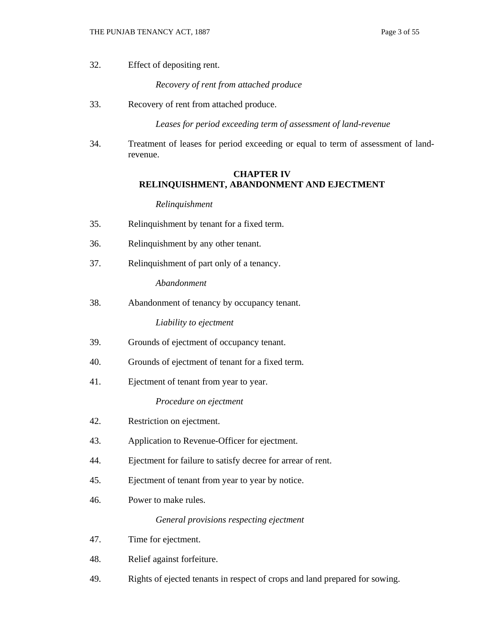32. Effect of depositing rent.

*Recovery of rent from attached produce*

33. Recovery of rent from attached produce.

*Leases for period exceeding term of assessment of land-revenue*

34. Treatment of leases for period exceeding or equal to term of assessment of landrevenue.

## **CHAPTER IV RELINQUISHMENT, ABANDONMENT AND EJECTMENT**

#### *Relinquishment*

- 35. Relinquishment by tenant for a fixed term.
- 36. Relinquishment by any other tenant.
- 37. Relinquishment of part only of a tenancy.

*Abandonment* 

38. Abandonment of tenancy by occupancy tenant.

*Liability to ejectment*

- 39. Grounds of ejectment of occupancy tenant.
- 40. Grounds of ejectment of tenant for a fixed term.
- 41. Ejectment of tenant from year to year.

*Procedure on ejectment*

- 42. Restriction on ejectment.
- 43. Application to Revenue-Officer for ejectment.
- 44. Ejectment for failure to satisfy decree for arrear of rent.
- 45. Ejectment of tenant from year to year by notice.
- 46. Power to make rules.

*General provisions respecting ejectment*

- 47. Time for ejectment.
- 48. Relief against forfeiture.
- 49. Rights of ejected tenants in respect of crops and land prepared for sowing.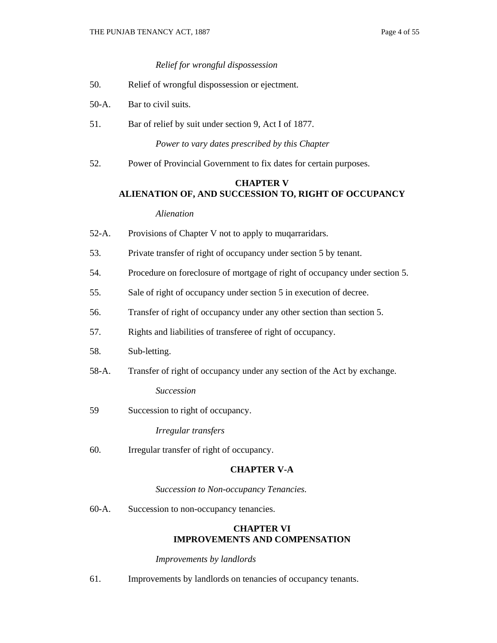## *Relief for wrongful dispossession*

- 50. Relief of wrongful dispossession or ejectment.
- 50-A. Bar to civil suits.
- 51. Bar of relief by suit under section 9, Act I of 1877.

*Power to vary dates prescribed by this Chapter*

52. Power of Provincial Government to fix dates for certain purposes.

# **CHAPTER V**

# **ALIENATION OF, AND SUCCESSION TO, RIGHT OF OCCUPANCY**

# *Alienation*

- 52-A. Provisions of Chapter V not to apply to muqarraridars.
- 53. Private transfer of right of occupancy under section 5 by tenant.
- 54. Procedure on foreclosure of mortgage of right of occupancy under section 5.
- 55. Sale of right of occupancy under section 5 in execution of decree.
- 56. Transfer of right of occupancy under any other section than section 5.
- 57. Rights and liabilities of transferee of right of occupancy.
- 58. Sub-letting.
- 58-A. Transfer of right of occupancy under any section of the Act by exchange.

*Succession*

59 Succession to right of occupancy.

*Irregular transfers*

60. Irregular transfer of right of occupancy.

# **CHAPTER V-A**

*Succession to Non-occupancy Tenancies.*

60-A. Succession to non-occupancy tenancies.

# **CHAPTER VI IMPROVEMENTS AND COMPENSATION**

#### *Improvements by landlords*

61. Improvements by landlords on tenancies of occupancy tenants.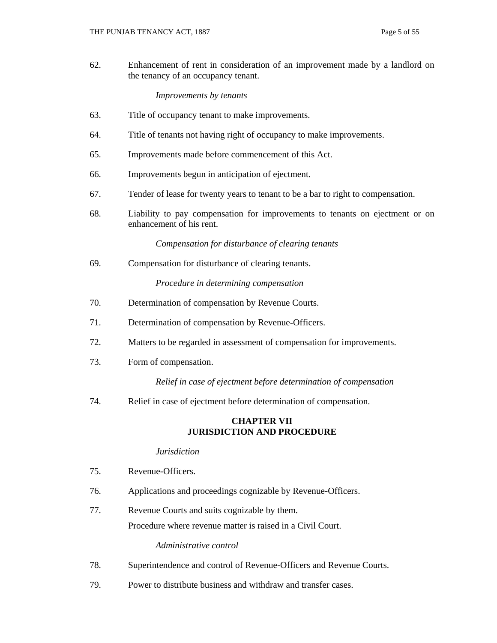62. Enhancement of rent in consideration of an improvement made by a landlord on the tenancy of an occupancy tenant.

#### *Improvements by tenants*

- 63. Title of occupancy tenant to make improvements.
- 64. Title of tenants not having right of occupancy to make improvements.
- 65. Improvements made before commencement of this Act.
- 66. Improvements begun in anticipation of ejectment.
- 67. Tender of lease for twenty years to tenant to be a bar to right to compensation.
- 68. Liability to pay compensation for improvements to tenants on ejectment or on enhancement of his rent.

*Compensation for disturbance of clearing tenants*

69. Compensation for disturbance of clearing tenants.

*Procedure in determining compensation*

- 70. Determination of compensation by Revenue Courts.
- 71. Determination of compensation by Revenue-Officers.
- 72. Matters to be regarded in assessment of compensation for improvements.
- 73. Form of compensation.

*Relief in case of ejectment before determination of compensation*

74. Relief in case of ejectment before determination of compensation.

# **CHAPTER VII JURISDICTION AND PROCEDURE**

## *Jurisdiction*

- 75. Revenue-Officers.
- 76. Applications and proceedings cognizable by Revenue-Officers.
- 77. Revenue Courts and suits cognizable by them. Procedure where revenue matter is raised in a Civil Court.

#### *Administrative control*

- 78. Superintendence and control of Revenue-Officers and Revenue Courts.
- 79. Power to distribute business and withdraw and transfer cases.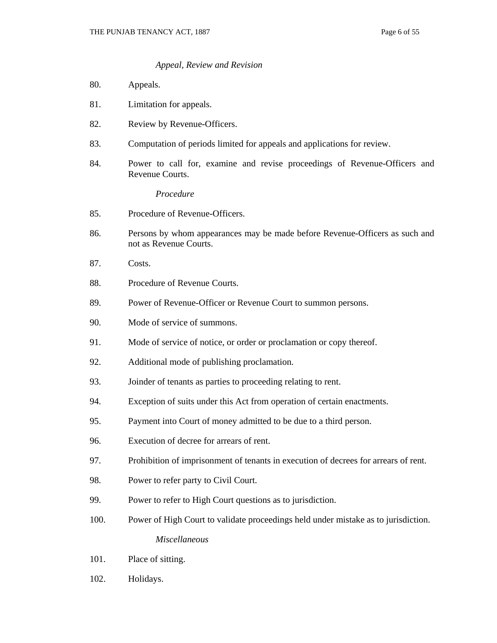#### *Appeal, Review and Revision*

- 80. Appeals.
- 81. Limitation for appeals.
- 82. Review by Revenue-Officers.
- 83. Computation of periods limited for appeals and applications for review.
- 84. Power to call for, examine and revise proceedings of Revenue-Officers and Revenue Courts.

*Procedure*

- 85. Procedure of Revenue-Officers.
- 86. Persons by whom appearances may be made before Revenue-Officers as such and not as Revenue Courts.
- 87. Costs.
- 88. Procedure of Revenue Courts.
- 89. Power of Revenue-Officer or Revenue Court to summon persons.
- 90. Mode of service of summons.
- 91. Mode of service of notice, or order or proclamation or copy thereof.
- 92. Additional mode of publishing proclamation.
- 93. Joinder of tenants as parties to proceeding relating to rent.
- 94. Exception of suits under this Act from operation of certain enactments.
- 95. Payment into Court of money admitted to be due to a third person.
- 96. Execution of decree for arrears of rent.
- 97. Prohibition of imprisonment of tenants in execution of decrees for arrears of rent.
- 98. Power to refer party to Civil Court.
- 99. Power to refer to High Court questions as to jurisdiction.
- 100. Power of High Court to validate proceedings held under mistake as to jurisdiction. *Miscellaneous*
- 101. Place of sitting.
- 102. Holidays.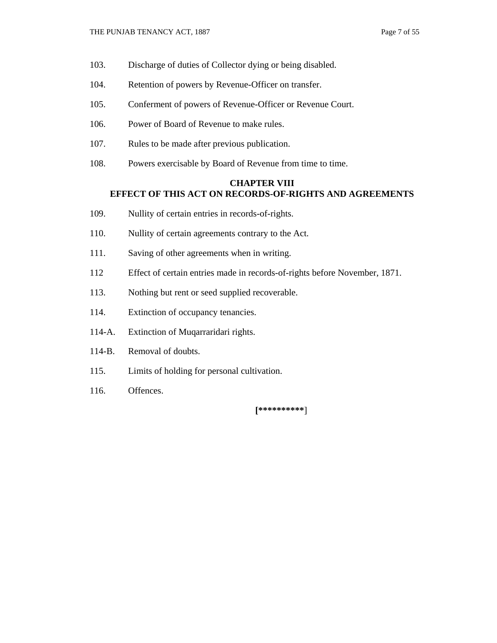- 103. Discharge of duties of Collector dying or being disabled.
- 104. Retention of powers by Revenue-Officer on transfer.
- 105. Conferment of powers of Revenue-Officer or Revenue Court.
- 106. Power of Board of Revenue to make rules.
- 107. Rules to be made after previous publication.
- 108. Powers exercisable by Board of Revenue from time to time.

# **CHAPTER VIII EFFECT OF THIS ACT ON RECORDS-OF-RIGHTS AND AGREEMENTS**

- 109. Nullity of certain entries in records-of-rights.
- 110. Nullity of certain agreements contrary to the Act.
- 111. Saving of other agreements when in writing.
- 112 Effect of certain entries made in records-of-rights before November, 1871.
- 113. Nothing but rent or seed supplied recoverable.
- 114. Extinction of occupancy tenancies.
- 114-A. Extinction of Muqarraridari rights.
- 114-B. Removal of doubts.
- 115. Limits of holding for personal cultivation.
- 116. Offences.

**[\*\*\*\*\*\*\*\*\*\***]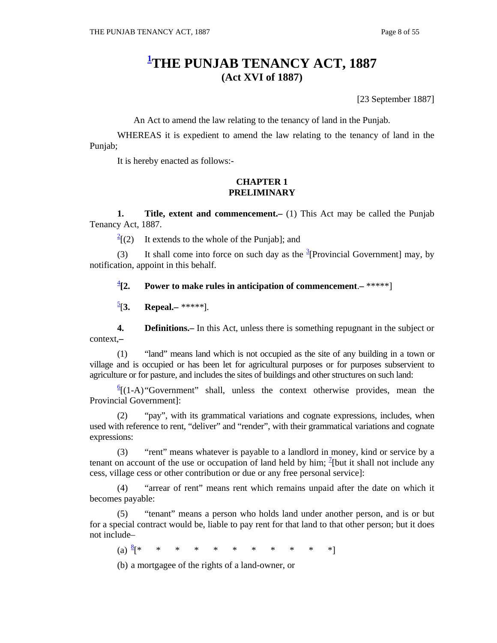# **1 THE PUNJAB TENANCY ACT, 1887 (Act XVI of 1887)**

[23 September 1887]

An Act to amend the law relating to the tenancy of land in the Punjab.

 WHEREAS it is expedient to amend the law relating to the tenancy of land in the Punjab;

It is hereby enacted as follows:-

## **CHAPTER 1 PRELIMINARY**

**1.** Title, extent and commencement. (1) This Act may be called the Punjab Tenancy Act, 1887.

 $\frac{2}{2}$ [(2) It extends to the whole of the Punjab]; and

(3) It shall come into force on such day as the  $\frac{3}{2}$ [Provincial Government] may, by notification, appoint in this behalf.

 $\frac{4}{3}$ [2. **Power to make rules in anticipation of commencement.**  $-$  **\*\*\*\*\*]** 

 $\frac{5}{1}$ [3.] [**3. Repeal.–** *\*\*\*\*\**].

 **4. Definitions.–** In this Act, unless there is something repugnant in the subject or context,**–**

 (1) "land" means land which is not occupied as the site of any building in a town or village and is occupied or has been let for agricultural purposes or for purposes subservient to agriculture or for pasture, and includes the sites of buildings and other structures on such land:

 $\frac{6}{1}$ (1-A) "Government" shall, unless the context otherwise provides, mean the Provincial Government]:

 (2) "pay", with its grammatical variations and cognate expressions, includes, when used with reference to rent, "deliver" and "render", with their grammatical variations and cognate expressions:

 (3) "rent" means whatever is payable to a landlord in money, kind or service by a tenant on account of the use or occupation of land held by him;  $\frac{1}{2}$ [but it shall not include any cess, village cess or other contribution or due or any free personal service]:

 (4) "arrear of rent" means rent which remains unpaid after the date on which it becomes payable:

 (5) "tenant" means a person who holds land under another person, and is or but for a special contract would be, liable to pay rent for that land to that other person; but it does not include–

(a)  $\frac{8}{5}$  \* [\* \* \* \* \* \* \* \* \* \* \*]

(b) a mortgagee of the rights of a land-owner, or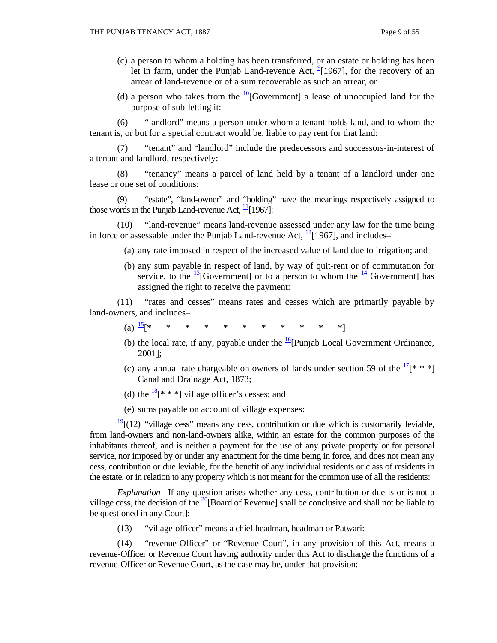- (c) a person to whom a holding has been transferred, or an estate or holding has been let in farm, under the Punjab Land-revenue Act,  $^{9}$ [1967], for the recovery of an arrear of land-revenue or of a sum recoverable as such an arrear, or
- (d) a person who takes from the  $\frac{10}{10}$ [Government] a lease of unoccupied land for the purpose of sub-letting it:

 (6) "landlord" means a person under whom a tenant holds land, and to whom the tenant is, or but for a special contract would be, liable to pay rent for that land:

 (7) "tenant" and "landlord" include the predecessors and successors-in-interest of a tenant and landlord, respectively:

 (8) "tenancy" means a parcel of land held by a tenant of a landlord under one lease or one set of conditions:

 (9) "estate", "land-owner" and "holding" have the meanings respectively assigned to those words in the Punjab Land-revenue Act,  $\frac{11}{1}$ [1967]:

 (10) "land-revenue" means land-revenue assessed under any law for the time being in force or assessable under the Punjab Land-revenue Act,  $\frac{12}{12}$ [1967], and includes–

- (a) any rate imposed in respect of the increased value of land due to irrigation; and
- (b) any sum payable in respect of land, by way of quit-rent or of commutation for service, to the  $\frac{13}{15}$ [Government] or to a person to whom the  $\frac{14}{15}$ [Government] has assigned the right to receive the payment:

 (11) "rates and cesses" means rates and cesses which are primarily payable by land-owners, and includes–

- (a)  $\frac{15}{15}$  \* \* \* \* \* \* \* \* \* \* \* \*
	- (b) the local rate, if any, payable under the  $\frac{16}{2}$ [Punjab Local Government Ordinance, 2001];
	- (c) any annual rate chargeable on owners of lands under section 59 of the  $\frac{17}{8}$  \* \*] Canal and Drainage Act, 1873;
	- (d) the  $\frac{18}{8}$ [\* \* \*] village officer's cesses; and
	- (e) sums payable on account of village expenses:

 $\frac{19}{2}$ [(12) "village cess" means any cess, contribution or due which is customarily leviable, from land-owners and non-land-owners alike, within an estate for the common purposes of the inhabitants thereof, and is neither a payment for the use of any private property or for personal service, nor imposed by or under any enactment for the time being in force, and does not mean any cess, contribution or due leviable, for the benefit of any individual residents or class of residents in the estate, or in relation to any property which is not meant for the common use of all the residents:

 *Explanation–* If any question arises whether any cess, contribution or due is or is not a village cess, the decision of the  $\frac{20}{8}$ [Board of Revenue] shall be conclusive and shall not be liable to be questioned in any Court]:

(13) "village-officer" means a chief headman, headman or Patwari:

 (14) "revenue-Officer" or "Revenue Court", in any provision of this Act, means a revenue-Officer or Revenue Court having authority under this Act to discharge the functions of a revenue-Officer or Revenue Court, as the case may be, under that provision: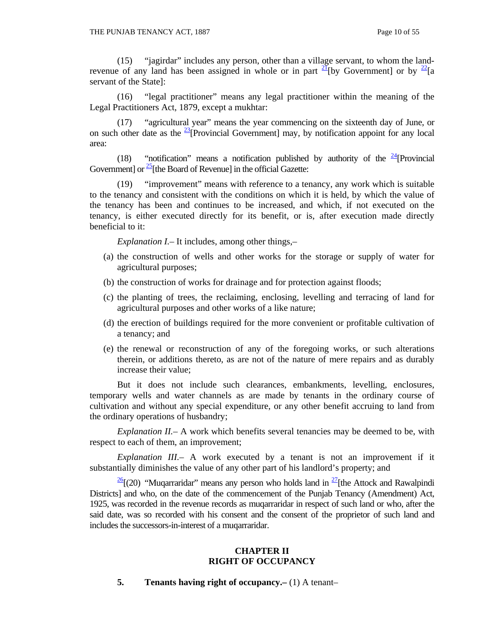(15) "jagirdar" includes any person, other than a village servant, to whom the landrevenue of any land has been assigned in whole or in part  $2\frac{1}{1}$  [by Government] or by  $\frac{22}{1}$ [a servant of the State]:

 (16) "legal practitioner" means any legal practitioner within the meaning of the Legal Practitioners Act, 1879, except a mukhtar:

 (17) "agricultural year" means the year commencing on the sixteenth day of June, or on such other date as the  $\frac{23}{21}$ [Provincial Government] may, by notification appoint for any local area:

(18) "notification" means a notification published by authority of the  $\frac{24}{1}$ [Provincial] Government] or  $\frac{25}{2}$ [the Board of Revenue] in the official Gazette:

 (19) "improvement" means with reference to a tenancy, any work which is suitable to the tenancy and consistent with the conditions on which it is held, by which the value of the tenancy has been and continues to be increased, and which, if not executed on the tenancy, is either executed directly for its benefit, or is, after execution made directly beneficial to it:

 *Explanation I.–* It includes, among other things,–

- (a) the construction of wells and other works for the storage or supply of water for agricultural purposes;
- (b) the construction of works for drainage and for protection against floods;
- (c) the planting of trees, the reclaiming, enclosing, levelling and terracing of land for agricultural purposes and other works of a like nature;
- (d) the erection of buildings required for the more convenient or profitable cultivation of a tenancy; and
- (e) the renewal or reconstruction of any of the foregoing works, or such alterations therein, or additions thereto, as are not of the nature of mere repairs and as durably increase their value;

 But it does not include such clearances, embankments, levelling, enclosures, temporary wells and water channels as are made by tenants in the ordinary course of cultivation and without any special expenditure, or any other benefit accruing to land from the ordinary operations of husbandry;

*Explanation II.*– A work which benefits several tenancies may be deemed to be, with respect to each of them, an improvement;

 *Explanation III.–* A work executed by a tenant is not an improvement if it substantially diminishes the value of any other part of his landlord's property; and

 $\frac{26}{2}$ [(20) "Muqarraridar" means any person who holds land in  $\frac{27}{2}$ [the Attock and Rawalpindi Districts] and who, on the date of the commencement of the Punjab Tenancy (Amendment) Act, 1925, was recorded in the revenue records as muqarraridar in respect of such land or who, after the said date, was so recorded with his consent and the consent of the proprietor of such land and includes the successors-in-interest of a muqarraridar.

# **CHAPTER II RIGHT OF OCCUPANCY**

 **5. Tenants having right of occupancy.–** (1) A tenant–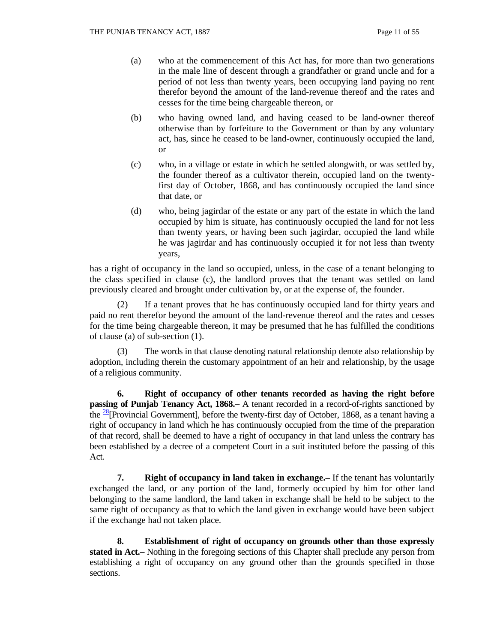- (a) who at the commencement of this Act has, for more than two generations in the male line of descent through a grandfather or grand uncle and for a period of not less than twenty years, been occupying land paying no rent therefor beyond the amount of the land-revenue thereof and the rates and cesses for the time being chargeable thereon, or
- (b) who having owned land, and having ceased to be land-owner thereof otherwise than by forfeiture to the Government or than by any voluntary act, has, since he ceased to be land-owner, continuously occupied the land, or
- (c) who, in a village or estate in which he settled alongwith, or was settled by, the founder thereof as a cultivator therein, occupied land on the twentyfirst day of October, 1868, and has continuously occupied the land since that date, or
- (d) who, being jagirdar of the estate or any part of the estate in which the land occupied by him is situate, has continuously occupied the land for not less than twenty years, or having been such jagirdar, occupied the land while he was jagirdar and has continuously occupied it for not less than twenty years,

has a right of occupancy in the land so occupied, unless, in the case of a tenant belonging to the class specified in clause (c), the landlord proves that the tenant was settled on land previously cleared and brought under cultivation by, or at the expense of, the founder.

 (2) If a tenant proves that he has continuously occupied land for thirty years and paid no rent therefor beyond the amount of the land-revenue thereof and the rates and cesses for the time being chargeable thereon, it may be presumed that he has fulfilled the conditions of clause (a) of sub-section (1).

 (3) The words in that clause denoting natural relationship denote also relationship by adoption, including therein the customary appointment of an heir and relationship, by the usage of a religious community.

 **6. Right of occupancy of other tenants recorded as having the right before passing of Punjab Tenancy Act, 1868.**— A tenant recorded in a record-of-rights sanctioned by the  $\frac{28}{8}$ [Provincial Government], before the twenty-first day of October, 1868, as a tenant having a right of occupancy in land which he has continuously occupied from the time of the preparation of that record, shall be deemed to have a right of occupancy in that land unless the contrary has been established by a decree of a competent Court in a suit instituted before the passing of this Act.

**7.** Right of occupancy in land taken in exchange.– If the tenant has voluntarily exchanged the land, or any portion of the land, formerly occupied by him for other land belonging to the same landlord, the land taken in exchange shall be held to be subject to the same right of occupancy as that to which the land given in exchange would have been subject if the exchange had not taken place.

 **8. Establishment of right of occupancy on grounds other than those expressly stated in Act.–** Nothing in the foregoing sections of this Chapter shall preclude any person from establishing a right of occupancy on any ground other than the grounds specified in those sections.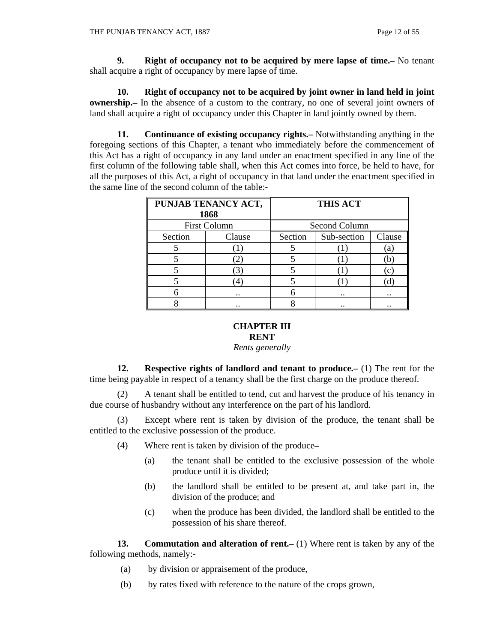**9. Right of occupancy not to be acquired by mere lapse of time.–** No tenant shall acquire a right of occupancy by mere lapse of time.

 **10. Right of occupancy not to be acquired by joint owner in land held in joint ownership.**— In the absence of a custom to the contrary, no one of several joint owners of land shall acquire a right of occupancy under this Chapter in land jointly owned by them.

 **11. Continuance of existing occupancy rights.–** Notwithstanding anything in the foregoing sections of this Chapter, a tenant who immediately before the commencement of this Act has a right of occupancy in any land under an enactment specified in any line of the first column of the following table shall, when this Act comes into force, be held to have, for all the purposes of this Act, a right of occupancy in that land under the enactment specified in the same line of the second column of the table:-

| PUNJAB TENANCY ACT, |                      | <b>THIS ACT</b> |                      |              |
|---------------------|----------------------|-----------------|----------------------|--------------|
| 1868                |                      |                 |                      |              |
| <b>First Column</b> |                      | Second Column   |                      |              |
| Section             | Clause               | Section         | Sub-section          | Clause       |
|                     |                      |                 |                      | [a]          |
|                     |                      |                 |                      | b.           |
|                     | 3                    |                 |                      | $\mathbf{c}$ |
|                     |                      |                 |                      |              |
|                     | $\ddot{\phantom{0}}$ | h               | $\ddot{\phantom{a}}$ |              |
|                     |                      |                 |                      |              |

# **CHAPTER III RENT**

*Rents generally* 

 **12. Respective rights of landlord and tenant to produce.–** (1) The rent for the time being payable in respect of a tenancy shall be the first charge on the produce thereof.

 (2) A tenant shall be entitled to tend, cut and harvest the produce of his tenancy in due course of husbandry without any interference on the part of his landlord.

 (3) Except where rent is taken by division of the produce, the tenant shall be entitled to the exclusive possession of the produce.

- (4) Where rent is taken by division of the produce**–**
	- (a) the tenant shall be entitled to the exclusive possession of the whole produce until it is divided;
	- (b) the landlord shall be entitled to be present at, and take part in, the division of the produce; and
	- (c) when the produce has been divided, the landlord shall be entitled to the possession of his share thereof.

**13.** Commutation and alteration of rent. (1) Where rent is taken by any of the following methods, namely:-

- (a) by division or appraisement of the produce,
- (b) by rates fixed with reference to the nature of the crops grown,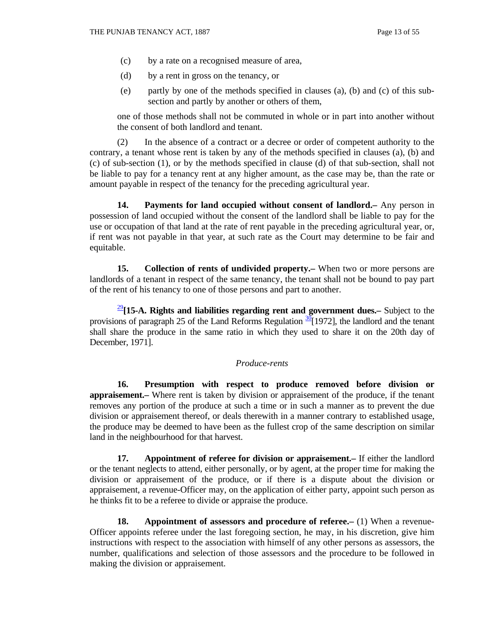- (c) by a rate on a recognised measure of area,
- (d) by a rent in gross on the tenancy, or
- (e) partly by one of the methods specified in clauses (a), (b) and (c) of this subsection and partly by another or others of them,

one of those methods shall not be commuted in whole or in part into another without the consent of both landlord and tenant.

 (2) In the absence of a contract or a decree or order of competent authority to the contrary, a tenant whose rent is taken by any of the methods specified in clauses (a), (b) and (c) of sub-section (1), or by the methods specified in clause (d) of that sub-section, shall not be liable to pay for a tenancy rent at any higher amount, as the case may be, than the rate or amount payable in respect of the tenancy for the preceding agricultural year.

 **14. Payments for land occupied without consent of landlord.–** Any person in possession of land occupied without the consent of the landlord shall be liable to pay for the use or occupation of that land at the rate of rent payable in the preceding agricultural year, or, if rent was not payable in that year, at such rate as the Court may determine to be fair and equitable.

**15.** Collection of rents of undivided property.— When two or more persons are landlords of a tenant in respect of the same tenancy, the tenant shall not be bound to pay part of the rent of his tenancy to one of those persons and part to another.

<sup>29</sup>**[15-A. Rights and liabilities regarding rent and government dues.–** Subject to the provisions of paragraph 25 of the Land Reforms Regulation  $\frac{30}{2}$ [1972], the landlord and the tenant shall share the produce in the same ratio in which they used to share it on the 20th day of December, 1971].

#### *Produce-rents*

 **16. Presumption with respect to produce removed before division or appraisement.–** Where rent is taken by division or appraisement of the produce, if the tenant removes any portion of the produce at such a time or in such a manner as to prevent the due division or appraisement thereof, or deals therewith in a manner contrary to established usage, the produce may be deemed to have been as the fullest crop of the same description on similar land in the neighbourhood for that harvest.

 **17. Appointment of referee for division or appraisement.–** If either the landlord or the tenant neglects to attend, either personally, or by agent, at the proper time for making the division or appraisement of the produce, or if there is a dispute about the division or appraisement, a revenue-Officer may, on the application of either party, appoint such person as he thinks fit to be a referee to divide or appraise the produce.

**18.** Appointment of assessors and procedure of referee. (1) When a revenue-Officer appoints referee under the last foregoing section, he may, in his discretion, give him instructions with respect to the association with himself of any other persons as assessors, the number, qualifications and selection of those assessors and the procedure to be followed in making the division or appraisement.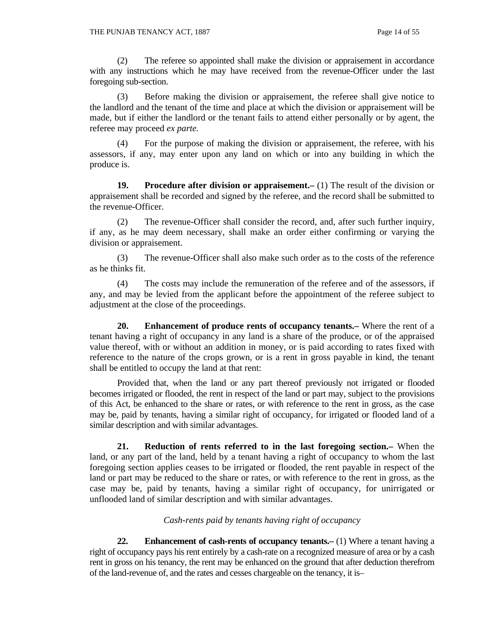(2) The referee so appointed shall make the division or appraisement in accordance with any instructions which he may have received from the revenue-Officer under the last foregoing sub-section.

 (3) Before making the division or appraisement, the referee shall give notice to the landlord and the tenant of the time and place at which the division or appraisement will be made, but if either the landlord or the tenant fails to attend either personally or by agent, the referee may proceed *ex parte.* 

 (4) For the purpose of making the division or appraisement, the referee, with his assessors, if any, may enter upon any land on which or into any building in which the produce is.

**19. Procedure after division or appraisement.** (1) The result of the division or appraisement shall be recorded and signed by the referee, and the record shall be submitted to the revenue-Officer.

 (2) The revenue-Officer shall consider the record, and, after such further inquiry, if any, as he may deem necessary, shall make an order either confirming or varying the division or appraisement.

 (3) The revenue-Officer shall also make such order as to the costs of the reference as he thinks fit.

 (4) The costs may include the remuneration of the referee and of the assessors, if any, and may be levied from the applicant before the appointment of the referee subject to adjustment at the close of the proceedings.

 **20. Enhancement of produce rents of occupancy tenants.–** Where the rent of a tenant having a right of occupancy in any land is a share of the produce, or of the appraised value thereof, with or without an addition in money, or is paid according to rates fixed with reference to the nature of the crops grown, or is a rent in gross payable in kind, the tenant shall be entitled to occupy the land at that rent:

 Provided that, when the land or any part thereof previously not irrigated or flooded becomes irrigated or flooded, the rent in respect of the land or part may, subject to the provisions of this Act, be enhanced to the share or rates, or with reference to the rent in gross, as the case may be, paid by tenants, having a similar right of occupancy, for irrigated or flooded land of a similar description and with similar advantages.

 **21. Reduction of rents referred to in the last foregoing section.–** When the land, or any part of the land, held by a tenant having a right of occupancy to whom the last foregoing section applies ceases to be irrigated or flooded, the rent payable in respect of the land or part may be reduced to the share or rates, or with reference to the rent in gross, as the case may be, paid by tenants, having a similar right of occupancy, for unirrigated or unflooded land of similar description and with similar advantages.

# *Cash-rents paid by tenants having right of occupancy*

 **22. Enhancement of cash-rents of occupancy tenants.–** (1) Where a tenant having a right of occupancy pays his rent entirely by a cash-rate on a recognized measure of area or by a cash rent in gross on his tenancy, the rent may be enhanced on the ground that after deduction therefrom of the land-revenue of, and the rates and cesses chargeable on the tenancy, it is–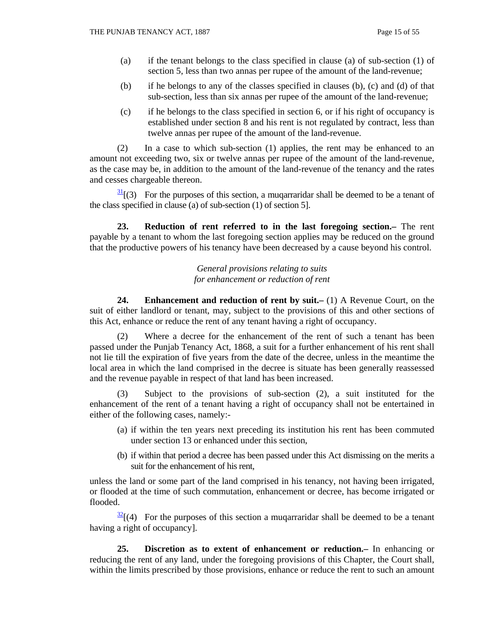- (a) if the tenant belongs to the class specified in clause (a) of sub-section (1) of section 5, less than two annas per rupee of the amount of the land-revenue;
- (b) if he belongs to any of the classes specified in clauses (b), (c) and (d) of that sub-section, less than six annas per rupee of the amount of the land-revenue;
- (c) if he belongs to the class specified in section 6, or if his right of occupancy is established under section 8 and his rent is not regulated by contract, less than twelve annas per rupee of the amount of the land-revenue.

 (2) In a case to which sub-section (1) applies, the rent may be enhanced to an amount not exceeding two, six or twelve annas per rupee of the amount of the land-revenue, as the case may be, in addition to the amount of the land-revenue of the tenancy and the rates and cesses chargeable thereon.

 $\frac{31}{21}$  (3) For the purposes of this section, a muqarraridar shall be deemed to be a tenant of the class specified in clause (a) of sub-section (1) of section 5].

 **23. Reduction of rent referred to in the last foregoing section.–** The rent payable by a tenant to whom the last foregoing section applies may be reduced on the ground that the productive powers of his tenancy have been decreased by a cause beyond his control.

> *General provisions relating to suits for enhancement or reduction of rent*

 **24. Enhancement and reduction of rent by suit.–** (1) A Revenue Court, on the suit of either landlord or tenant, may, subject to the provisions of this and other sections of this Act, enhance or reduce the rent of any tenant having a right of occupancy.

 (2) Where a decree for the enhancement of the rent of such a tenant has been passed under the Punjab Tenancy Act, 1868, a suit for a further enhancement of his rent shall not lie till the expiration of five years from the date of the decree, unless in the meantime the local area in which the land comprised in the decree is situate has been generally reassessed and the revenue payable in respect of that land has been increased.

 (3) Subject to the provisions of sub-section (2), a suit instituted for the enhancement of the rent of a tenant having a right of occupancy shall not be entertained in either of the following cases, namely:-

- (a) if within the ten years next preceding its institution his rent has been commuted under section 13 or enhanced under this section,
- (b) if within that period a decree has been passed under this Act dismissing on the merits a suit for the enhancement of his rent,

unless the land or some part of the land comprised in his tenancy, not having been irrigated, or flooded at the time of such commutation, enhancement or decree, has become irrigated or flooded.

 $\frac{32}{2}$ [(4) For the purposes of this section a muqarraridar shall be deemed to be a tenant having a right of occupancy].

 **25. Discretion as to extent of enhancement or reduction.–** In enhancing or reducing the rent of any land, under the foregoing provisions of this Chapter, the Court shall, within the limits prescribed by those provisions, enhance or reduce the rent to such an amount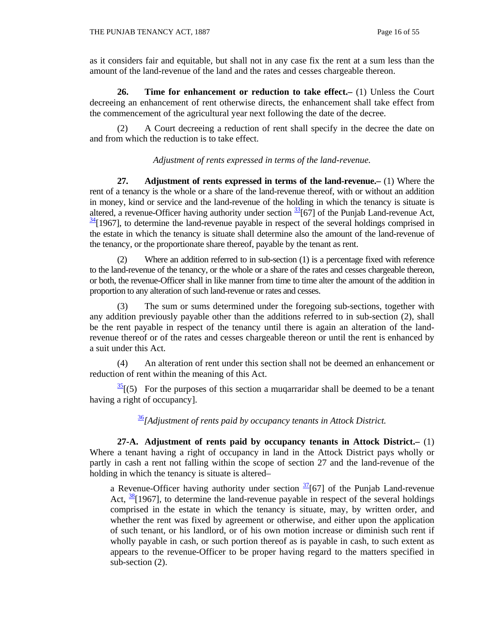as it considers fair and equitable, but shall not in any case fix the rent at a sum less than the amount of the land-revenue of the land and the rates and cesses chargeable thereon.

 **26. Time for enhancement or reduction to take effect.–** (1) Unless the Court decreeing an enhancement of rent otherwise directs, the enhancement shall take effect from the commencement of the agricultural year next following the date of the decree.

 (2) A Court decreeing a reduction of rent shall specify in the decree the date on and from which the reduction is to take effect.

*Adjustment of rents expressed in terms of the land-revenue.* 

 **27. Adjustment of rents expressed in terms of the land-revenue.–** (1) Where the rent of a tenancy is the whole or a share of the land-revenue thereof, with or without an addition in money, kind or service and the land-revenue of the holding in which the tenancy is situate is altered, a revenue-Officer having authority under section  $\frac{33}{36}$  [67] of the Punjab Land-revenue Act,  $\frac{34}{1967}$ , to determine the land-revenue payable in respect of the several holdings comprised in the estate in which the tenancy is situate shall determine also the amount of the land-revenue of the tenancy, or the proportionate share thereof, payable by the tenant as rent.

 (2) Where an addition referred to in sub-section (1) is a percentage fixed with reference to the land-revenue of the tenancy, or the whole or a share of the rates and cesses chargeable thereon, or both, the revenue-Officer shall in like manner from time to time alter the amount of the addition in proportion to any alteration of such land-revenue or rates and cesses.

 (3) The sum or sums determined under the foregoing sub-sections, together with any addition previously payable other than the additions referred to in sub-section (2), shall be the rent payable in respect of the tenancy until there is again an alteration of the landrevenue thereof or of the rates and cesses chargeable thereon or until the rent is enhanced by a suit under this Act.

 (4) An alteration of rent under this section shall not be deemed an enhancement or reduction of rent within the meaning of this Act.

 $\frac{35}{25}$  (5) For the purposes of this section a mugarraridar shall be deemed to be a tenant having a right of occupancy].

<sup>36</sup>*[Adjustment of rents paid by occupancy tenants in Attock District.*

 **27-A. Adjustment of rents paid by occupancy tenants in Attock District.–** (1) Where a tenant having a right of occupancy in land in the Attock District pays wholly or partly in cash a rent not falling within the scope of section 27 and the land-revenue of the holding in which the tenancy is situate is altered–

a Revenue-Officer having authority under section  $\frac{37}{67}$  of the Punjab Land-revenue Act,  $\frac{38}{1967}$ , to determine the land-revenue payable in respect of the several holdings comprised in the estate in which the tenancy is situate, may, by written order, and whether the rent was fixed by agreement or otherwise, and either upon the application of such tenant, or his landlord, or of his own motion increase or diminish such rent if wholly payable in cash, or such portion thereof as is payable in cash, to such extent as appears to the revenue-Officer to be proper having regard to the matters specified in sub-section (2).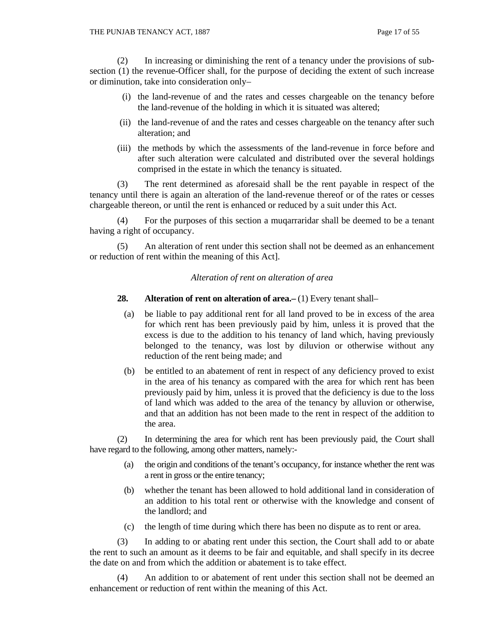(2) In increasing or diminishing the rent of a tenancy under the provisions of subsection (1) the revenue-Officer shall, for the purpose of deciding the extent of such increase or diminution, take into consideration only–

- (i) the land-revenue of and the rates and cesses chargeable on the tenancy before the land-revenue of the holding in which it is situated was altered;
- (ii) the land-revenue of and the rates and cesses chargeable on the tenancy after such alteration; and
- (iii) the methods by which the assessments of the land-revenue in force before and after such alteration were calculated and distributed over the several holdings comprised in the estate in which the tenancy is situated.

 (3) The rent determined as aforesaid shall be the rent payable in respect of the tenancy until there is again an alteration of the land-revenue thereof or of the rates or cesses chargeable thereon, or until the rent is enhanced or reduced by a suit under this Act.

For the purposes of this section a mugarraridar shall be deemed to be a tenant having a right of occupancy.

 (5) An alteration of rent under this section shall not be deemed as an enhancement or reduction of rent within the meaning of this Act].

## *Alteration of rent on alteration of area*

# **28.** Alteration of rent on alteration of area. (1) Every tenant shall-

- (a) be liable to pay additional rent for all land proved to be in excess of the area for which rent has been previously paid by him, unless it is proved that the excess is due to the addition to his tenancy of land which, having previously belonged to the tenancy, was lost by diluvion or otherwise without any reduction of the rent being made; and
- (b) be entitled to an abatement of rent in respect of any deficiency proved to exist in the area of his tenancy as compared with the area for which rent has been previously paid by him, unless it is proved that the deficiency is due to the loss of land which was added to the area of the tenancy by alluvion or otherwise, and that an addition has not been made to the rent in respect of the addition to the area.

 (2) In determining the area for which rent has been previously paid, the Court shall have regard to the following, among other matters, namely:-

- (a) the origin and conditions of the tenant's occupancy, for instance whether the rent was a rent in gross or the entire tenancy;
- (b) whether the tenant has been allowed to hold additional land in consideration of an addition to his total rent or otherwise with the knowledge and consent of the landlord; and
- (c) the length of time during which there has been no dispute as to rent or area.

 (3) In adding to or abating rent under this section, the Court shall add to or abate the rent to such an amount as it deems to be fair and equitable, and shall specify in its decree the date on and from which the addition or abatement is to take effect.

 (4) An addition to or abatement of rent under this section shall not be deemed an enhancement or reduction of rent within the meaning of this Act.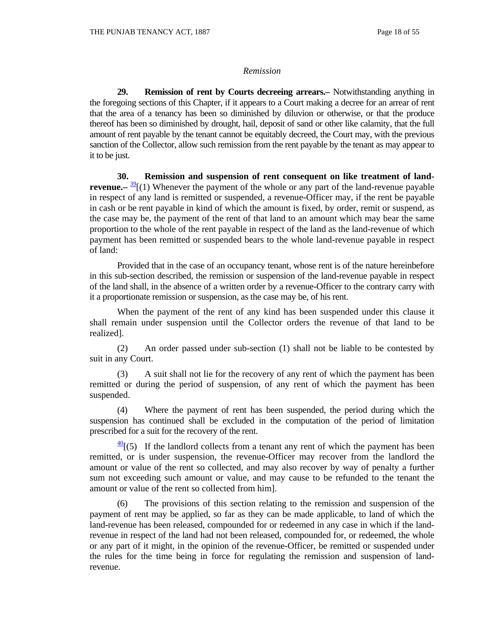#### *Remission*

 **29. Remission of rent by Courts decreeing arrears.–** Notwithstanding anything in the foregoing sections of this Chapter, if it appears to a Court making a decree for an arrear of rent that the area of a tenancy has been so diminished by diluvion or otherwise, or that the produce thereof has been so diminished by drought, hail, deposit of sand or other like calamity, that the full amount of rent payable by the tenant cannot be equitably decreed, the Court may, with the previous sanction of the Collector, allow such remission from the rent payable by the tenant as may appear to it to be just.

 **30. Remission and suspension of rent consequent on like treatment of landrevenue.**— $\frac{39}{2}$ [(1) Whenever the payment of the whole or any part of the land-revenue payable in respect of any land is remitted or suspended, a revenue-Officer may, if the rent be payable in cash or be rent payable in kind of which the amount is fixed, by order, remit or suspend, as the case may be, the payment of the rent of that land to an amount which may bear the same proportion to the whole of the rent payable in respect of the land as the land-revenue of which payment has been remitted or suspended bears to the whole land-revenue payable in respect of land:

 Provided that in the case of an occupancy tenant, whose rent is of the nature hereinbefore in this sub-section described, the remission or suspension of the land-revenue payable in respect of the land shall, in the absence of a written order by a revenue-Officer to the contrary carry with it a proportionate remission or suspension, as the case may be, of his rent.

 When the payment of the rent of any kind has been suspended under this clause it shall remain under suspension until the Collector orders the revenue of that land to be realized].

 (2) An order passed under sub-section (1) shall not be liable to be contested by suit in any Court.

 (3) A suit shall not lie for the recovery of any rent of which the payment has been remitted or during the period of suspension, of any rent of which the payment has been suspended.

 (4) Where the payment of rent has been suspended, the period during which the suspension has continued shall be excluded in the computation of the period of limitation prescribed for a suit for the recovery of the rent.

 $\frac{40}{15}$  If the landlord collects from a tenant any rent of which the payment has been remitted, or is under suspension, the revenue-Officer may recover from the landlord the amount or value of the rent so collected, and may also recover by way of penalty a further sum not exceeding such amount or value, and may cause to be refunded to the tenant the amount or value of the rent so collected from him].

 (6) The provisions of this section relating to the remission and suspension of the payment of rent may be applied, so far as they can be made applicable, to land of which the land-revenue has been released, compounded for or redeemed in any case in which if the landrevenue in respect of the land had not been released, compounded for, or redeemed, the whole or any part of it might, in the opinion of the revenue-Officer, be remitted or suspended under the rules for the time being in force for regulating the remission and suspension of landrevenue.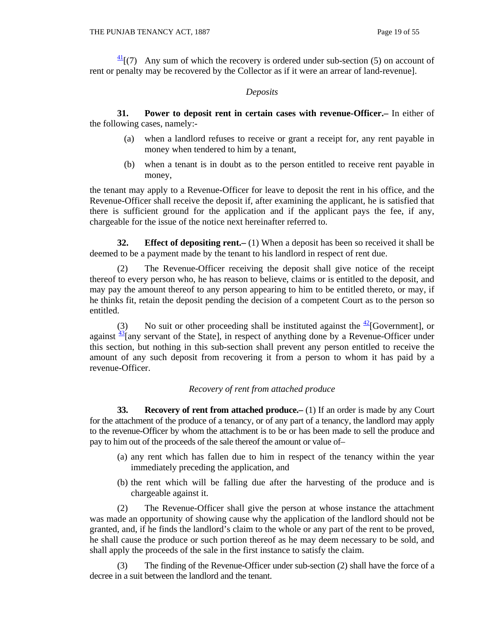$\frac{41}{1}$ [(7) Any sum of which the recovery is ordered under sub-section (5) on account of rent or penalty may be recovered by the Collector as if it were an arrear of land-revenue].

# *Deposits*

 **31. Power to deposit rent in certain cases with revenue-Officer.–** In either of the following cases, namely:-

- (a) when a landlord refuses to receive or grant a receipt for, any rent payable in money when tendered to him by a tenant,
- (b) when a tenant is in doubt as to the person entitled to receive rent payable in money,

the tenant may apply to a Revenue-Officer for leave to deposit the rent in his office, and the Revenue-Officer shall receive the deposit if, after examining the applicant, he is satisfied that there is sufficient ground for the application and if the applicant pays the fee, if any, chargeable for the issue of the notice next hereinafter referred to.

**32.** Effect of depositing rent.—(1) When a deposit has been so received it shall be deemed to be a payment made by the tenant to his landlord in respect of rent due.

 (2) The Revenue-Officer receiving the deposit shall give notice of the receipt thereof to every person who, he has reason to believe, claims or is entitled to the deposit, and may pay the amount thereof to any person appearing to him to be entitled thereto, or may, if he thinks fit, retain the deposit pending the decision of a competent Court as to the person so entitled.

(3) No suit or other proceeding shall be instituted against the  $\frac{42}{2}$ [Government], or against  $\frac{43}{1}$  any servant of the Statel, in respect of anything done by a Revenue-Officer under this section, but nothing in this sub-section shall prevent any person entitled to receive the amount of any such deposit from recovering it from a person to whom it has paid by a revenue-Officer.

# *Recovery of rent from attached produce*

**33. Recovery of rent from attached produce.** (1) If an order is made by any Court for the attachment of the produce of a tenancy, or of any part of a tenancy, the landlord may apply to the revenue-Officer by whom the attachment is to be or has been made to sell the produce and pay to him out of the proceeds of the sale thereof the amount or value of–

- (a) any rent which has fallen due to him in respect of the tenancy within the year immediately preceding the application, and
- (b) the rent which will be falling due after the harvesting of the produce and is chargeable against it.

 (2) The Revenue-Officer shall give the person at whose instance the attachment was made an opportunity of showing cause why the application of the landlord should not be granted, and, if he finds the landlord's claim to the whole or any part of the rent to be proved, he shall cause the produce or such portion thereof as he may deem necessary to be sold, and shall apply the proceeds of the sale in the first instance to satisfy the claim.

 (3) The finding of the Revenue-Officer under sub-section (2) shall have the force of a decree in a suit between the landlord and the tenant.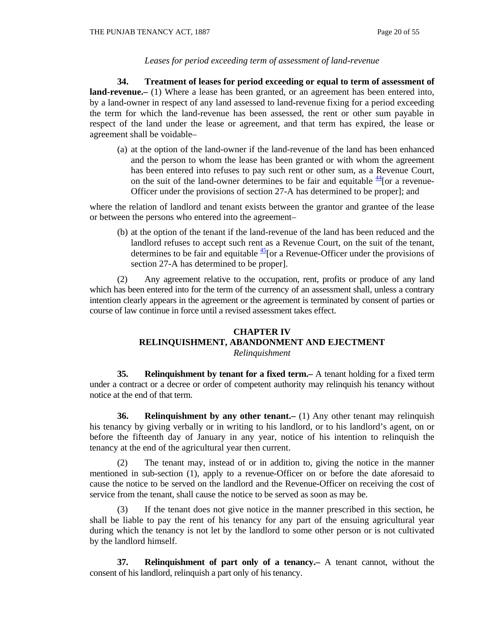# *Leases for period exceeding term of assessment of land-revenue*

 **34. Treatment of leases for period exceeding or equal to term of assessment of land-revenue.–** (1) Where a lease has been granted, or an agreement has been entered into, by a land-owner in respect of any land assessed to land-revenue fixing for a period exceeding the term for which the land-revenue has been assessed, the rent or other sum payable in respect of the land under the lease or agreement, and that term has expired, the lease or agreement shall be voidable–

 (a) at the option of the land-owner if the land-revenue of the land has been enhanced and the person to whom the lease has been granted or with whom the agreement has been entered into refuses to pay such rent or other sum, as a Revenue Court, on the suit of the land-owner determines to be fair and equitable  $\frac{44}{10}$  or a revenue-Officer under the provisions of section 27-A has determined to be proper]; and

where the relation of landlord and tenant exists between the grantor and grantee of the lease or between the persons who entered into the agreement–

 (b) at the option of the tenant if the land-revenue of the land has been reduced and the landlord refuses to accept such rent as a Revenue Court, on the suit of the tenant, determines to be fair and equitable  $\frac{45}{10}$  or a Revenue-Officer under the provisions of section 27-A has determined to be proper].

 (2) Any agreement relative to the occupation, rent, profits or produce of any land which has been entered into for the term of the currency of an assessment shall, unless a contrary intention clearly appears in the agreement or the agreement is terminated by consent of parties or course of law continue in force until a revised assessment takes effect.

# **CHAPTER IV RELINQUISHMENT, ABANDONMENT AND EJECTMENT**  *Relinquishment*

 **35. Relinquishment by tenant for a fixed term.–** A tenant holding for a fixed term under a contract or a decree or order of competent authority may relinquish his tenancy without notice at the end of that term.

 **36. Relinquishment by any other tenant.–** (1) Any other tenant may relinquish his tenancy by giving verbally or in writing to his landlord, or to his landlord's agent, on or before the fifteenth day of January in any year, notice of his intention to relinquish the tenancy at the end of the agricultural year then current.

 (2) The tenant may, instead of or in addition to, giving the notice in the manner mentioned in sub-section (1), apply to a revenue-Officer on or before the date aforesaid to cause the notice to be served on the landlord and the Revenue-Officer on receiving the cost of service from the tenant, shall cause the notice to be served as soon as may be.

If the tenant does not give notice in the manner prescribed in this section, he shall be liable to pay the rent of his tenancy for any part of the ensuing agricultural year during which the tenancy is not let by the landlord to some other person or is not cultivated by the landlord himself.

 **37. Relinquishment of part only of a tenancy.–** A tenant cannot, without the consent of his landlord, relinquish a part only of his tenancy.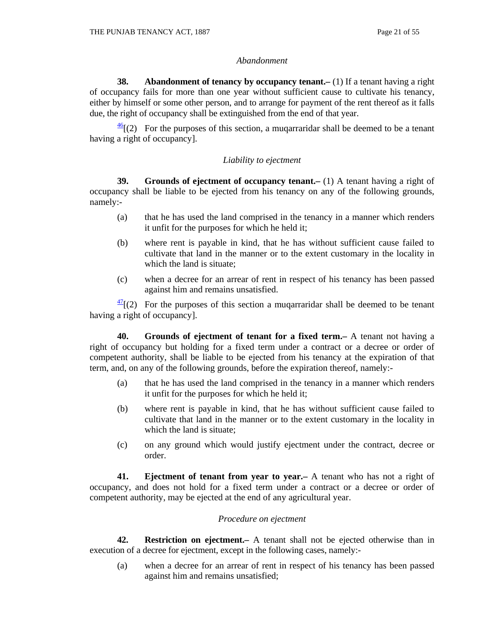#### *Abandonment*

**38.** Abandonment of tenancy by occupancy tenant. (1) If a tenant having a right of occupancy fails for more than one year without sufficient cause to cultivate his tenancy, either by himself or some other person, and to arrange for payment of the rent thereof as it falls due, the right of occupancy shall be extinguished from the end of that year.

 $\frac{46}{12}$  For the purposes of this section, a muqarraridar shall be deemed to be a tenant having a right of occupancy].

## *Liability to ejectment*

**39.** Grounds of ejectment of occupancy tenant. (1) A tenant having a right of occupancy shall be liable to be ejected from his tenancy on any of the following grounds, namely:-

- (a) that he has used the land comprised in the tenancy in a manner which renders it unfit for the purposes for which he held it;
- (b) where rent is payable in kind, that he has without sufficient cause failed to cultivate that land in the manner or to the extent customary in the locality in which the land is situate;
- (c) when a decree for an arrear of rent in respect of his tenancy has been passed against him and remains unsatisfied.

 $\frac{47}{2}$ [(2) For the purposes of this section a muqarraridar shall be deemed to be tenant having a right of occupancy].

 **40. Grounds of ejectment of tenant for a fixed term.–** A tenant not having a right of occupancy but holding for a fixed term under a contract or a decree or order of competent authority, shall be liable to be ejected from his tenancy at the expiration of that term, and, on any of the following grounds, before the expiration thereof, namely:-

- (a) that he has used the land comprised in the tenancy in a manner which renders it unfit for the purposes for which he held it;
- (b) where rent is payable in kind, that he has without sufficient cause failed to cultivate that land in the manner or to the extent customary in the locality in which the land is situate;
- (c) on any ground which would justify ejectment under the contract, decree or order.

 **41. Ejectment of tenant from year to year.–** A tenant who has not a right of occupancy, and does not hold for a fixed term under a contract or a decree or order of competent authority, may be ejected at the end of any agricultural year.

#### *Procedure on ejectment*

 **42. Restriction on ejectment.–** A tenant shall not be ejected otherwise than in execution of a decree for ejectment, except in the following cases, namely:-

(a) when a decree for an arrear of rent in respect of his tenancy has been passed against him and remains unsatisfied;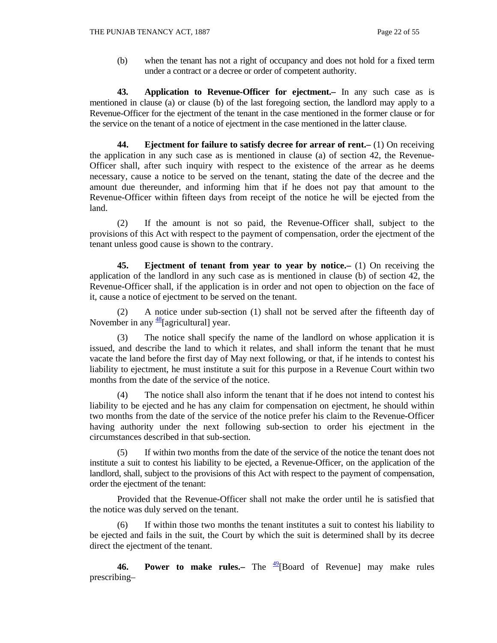(b) when the tenant has not a right of occupancy and does not hold for a fixed term under a contract or a decree or order of competent authority.

 **43. Application to Revenue-Officer for ejectment.–** In any such case as is mentioned in clause (a) or clause (b) of the last foregoing section, the landlord may apply to a Revenue-Officer for the ejectment of the tenant in the case mentioned in the former clause or for the service on the tenant of a notice of ejectment in the case mentioned in the latter clause.

 **44. Ejectment for failure to satisfy decree for arrear of rent.–** (1) On receiving the application in any such case as is mentioned in clause (a) of section 42, the Revenue-Officer shall, after such inquiry with respect to the existence of the arrear as he deems necessary, cause a notice to be served on the tenant, stating the date of the decree and the amount due thereunder, and informing him that if he does not pay that amount to the Revenue-Officer within fifteen days from receipt of the notice he will be ejected from the land.

 (2) If the amount is not so paid, the Revenue-Officer shall, subject to the provisions of this Act with respect to the payment of compensation, order the ejectment of the tenant unless good cause is shown to the contrary.

 **45. Ejectment of tenant from year to year by notice.–** (1) On receiving the application of the landlord in any such case as is mentioned in clause (b) of section 42, the Revenue-Officer shall, if the application is in order and not open to objection on the face of it, cause a notice of ejectment to be served on the tenant.

 (2) A notice under sub-section (1) shall not be served after the fifteenth day of November in any  $\frac{48}{9}$ [agricultural] year.

 (3) The notice shall specify the name of the landlord on whose application it is issued, and describe the land to which it relates, and shall inform the tenant that he must vacate the land before the first day of May next following, or that, if he intends to contest his liability to ejectment, he must institute a suit for this purpose in a Revenue Court within two months from the date of the service of the notice.

 (4) The notice shall also inform the tenant that if he does not intend to contest his liability to be ejected and he has any claim for compensation on ejectment, he should within two months from the date of the service of the notice prefer his claim to the Revenue-Officer having authority under the next following sub-section to order his ejectment in the circumstances described in that sub-section.

 (5) If within two months from the date of the service of the notice the tenant does not institute a suit to contest his liability to be ejected, a Revenue-Officer, on the application of the landlord, shall, subject to the provisions of this Act with respect to the payment of compensation, order the ejectment of the tenant:

 Provided that the Revenue-Officer shall not make the order until he is satisfied that the notice was duly served on the tenant.

If within those two months the tenant institutes a suit to contest his liability to be ejected and fails in the suit, the Court by which the suit is determined shall by its decree direct the ejectment of the tenant.

**46. Power to make rules.**— The <sup>49</sup>[Board of Revenue] may make rules prescribing–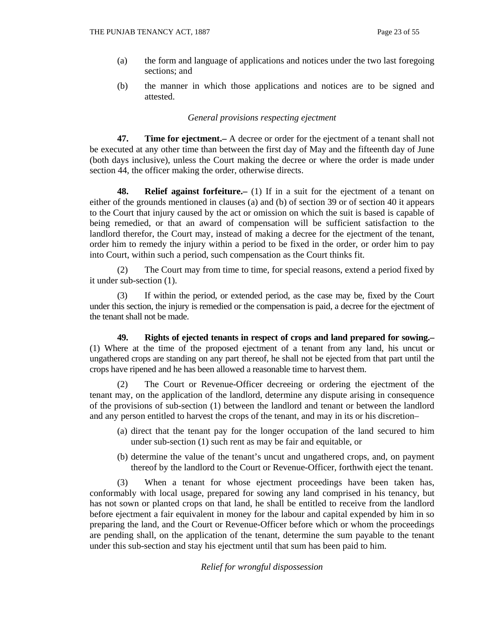- (a) the form and language of applications and notices under the two last foregoing sections; and
- (b) the manner in which those applications and notices are to be signed and attested.

## *General provisions respecting ejectment*

 **47. Time for ejectment.–** A decree or order for the ejectment of a tenant shall not be executed at any other time than between the first day of May and the fifteenth day of June (both days inclusive), unless the Court making the decree or where the order is made under section 44, the officer making the order, otherwise directs.

 **48. Relief against forfeiture.–** (1) If in a suit for the ejectment of a tenant on either of the grounds mentioned in clauses (a) and (b) of section 39 or of section 40 it appears to the Court that injury caused by the act or omission on which the suit is based is capable of being remedied, or that an award of compensation will be sufficient satisfaction to the landlord therefor, the Court may, instead of making a decree for the ejectment of the tenant, order him to remedy the injury within a period to be fixed in the order, or order him to pay into Court, within such a period, such compensation as the Court thinks fit.

 (2) The Court may from time to time, for special reasons, extend a period fixed by it under sub-section (1).

 (3) If within the period, or extended period, as the case may be, fixed by the Court under this section, the injury is remedied or the compensation is paid, a decree for the ejectment of the tenant shall not be made.

 **49. Rights of ejected tenants in respect of crops and land prepared for sowing.–** (1) Where at the time of the proposed ejectment of a tenant from any land, his uncut or ungathered crops are standing on any part thereof, he shall not be ejected from that part until the crops have ripened and he has been allowed a reasonable time to harvest them.

 (2) The Court or Revenue-Officer decreeing or ordering the ejectment of the tenant may, on the application of the landlord, determine any dispute arising in consequence of the provisions of sub-section (1) between the landlord and tenant or between the landlord and any person entitled to harvest the crops of the tenant, and may in its or his discretion–

- (a) direct that the tenant pay for the longer occupation of the land secured to him under sub-section (1) such rent as may be fair and equitable, or
- (b) determine the value of the tenant's uncut and ungathered crops, and, on payment thereof by the landlord to the Court or Revenue-Officer, forthwith eject the tenant.

 (3) When a tenant for whose ejectment proceedings have been taken has, conformably with local usage, prepared for sowing any land comprised in his tenancy, but has not sown or planted crops on that land, he shall be entitled to receive from the landlord before ejectment a fair equivalent in money for the labour and capital expended by him in so preparing the land, and the Court or Revenue-Officer before which or whom the proceedings are pending shall, on the application of the tenant, determine the sum payable to the tenant under this sub-section and stay his ejectment until that sum has been paid to him.

*Relief for wrongful dispossession*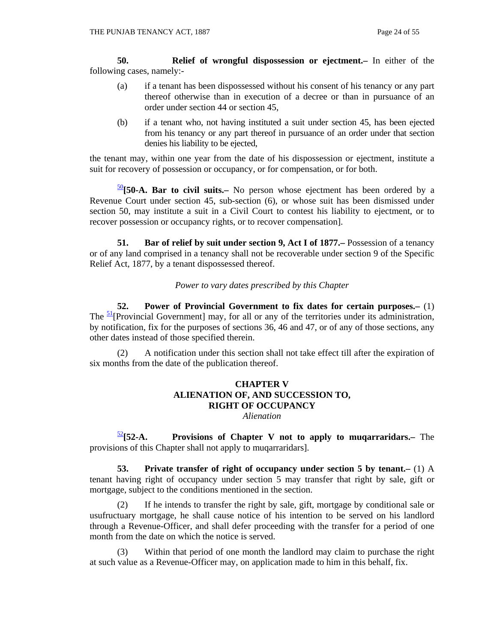**50. Relief of wrongful dispossession or ejectment.–** In either of the following cases, namely:-

- (a) if a tenant has been dispossessed without his consent of his tenancy or any part thereof otherwise than in execution of a decree or than in pursuance of an order under section 44 or section 45,
- (b) if a tenant who, not having instituted a suit under section 45, has been ejected from his tenancy or any part thereof in pursuance of an order under that section denies his liability to be ejected,

the tenant may, within one year from the date of his dispossession or ejectment, institute a suit for recovery of possession or occupancy, or for compensation, or for both.

<sup>50</sup>**[50-A. Bar to civil suits.–** No person whose ejectment has been ordered by a Revenue Court under section 45, sub-section (6), or whose suit has been dismissed under section 50, may institute a suit in a Civil Court to contest his liability to ejectment, or to recover possession or occupancy rights, or to recover compensation].

**51.** Bar of relief by suit under section 9, Act I of 1877. Possession of a tenancy or of any land comprised in a tenancy shall not be recoverable under section 9 of the Specific Relief Act, 1877, by a tenant dispossessed thereof.

*Power to vary dates prescribed by this Chapter* 

 **52. Power of Provincial Government to fix dates for certain purposes.–** (1) The  $\frac{51}{2}$ [Provincial Government] may, for all or any of the territories under its administration, by notification, fix for the purposes of sections 36, 46 and 47, or of any of those sections, any other dates instead of those specified therein.

 (2) A notification under this section shall not take effect till after the expiration of six months from the date of the publication thereof.

# **CHAPTER V ALIENATION OF, AND SUCCESSION TO, RIGHT OF OCCUPANCY**

*Alienation* 

<sup>52</sup>**[52-A. Provisions of Chapter V not to apply to muqarraridars.–** The provisions of this Chapter shall not apply to muqarraridars].

 **53. Private transfer of right of occupancy under section 5 by tenant.–** (1) A tenant having right of occupancy under section 5 may transfer that right by sale, gift or mortgage, subject to the conditions mentioned in the section.

 (2) If he intends to transfer the right by sale, gift, mortgage by conditional sale or usufructuary mortgage, he shall cause notice of his intention to be served on his landlord through a Revenue-Officer, and shall defer proceeding with the transfer for a period of one month from the date on which the notice is served.

 (3) Within that period of one month the landlord may claim to purchase the right at such value as a Revenue-Officer may, on application made to him in this behalf, fix.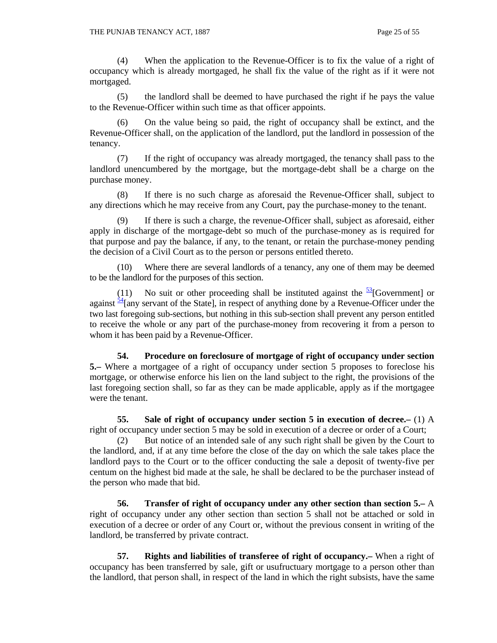(4) When the application to the Revenue-Officer is to fix the value of a right of occupancy which is already mortgaged, he shall fix the value of the right as if it were not mortgaged.

 (5) the landlord shall be deemed to have purchased the right if he pays the value to the Revenue-Officer within such time as that officer appoints.

 (6) On the value being so paid, the right of occupancy shall be extinct, and the Revenue-Officer shall, on the application of the landlord, put the landlord in possession of the tenancy.

 (7) If the right of occupancy was already mortgaged, the tenancy shall pass to the landlord unencumbered by the mortgage, but the mortgage-debt shall be a charge on the purchase money.

 (8) If there is no such charge as aforesaid the Revenue-Officer shall, subject to any directions which he may receive from any Court, pay the purchase-money to the tenant.

If there is such a charge, the revenue-Officer shall, subject as aforesaid, either apply in discharge of the mortgage-debt so much of the purchase-money as is required for that purpose and pay the balance, if any, to the tenant, or retain the purchase-money pending the decision of a Civil Court as to the person or persons entitled thereto.

 (10) Where there are several landlords of a tenancy, any one of them may be deemed to be the landlord for the purposes of this section.

(11) No suit or other proceeding shall be instituted against the  $\frac{53}{5}$ [Government] or against  $\frac{54}{4}$ [any servant of the State], in respect of anything done by a Revenue-Officer under the two last foregoing sub-sections, but nothing in this sub-section shall prevent any person entitled to receive the whole or any part of the purchase-money from recovering it from a person to whom it has been paid by a Revenue-Officer.

 **54. Procedure on foreclosure of mortgage of right of occupancy under section 5.–** Where a mortgagee of a right of occupancy under section 5 proposes to foreclose his mortgage, or otherwise enforce his lien on the land subject to the right, the provisions of the last foregoing section shall, so far as they can be made applicable, apply as if the mortgagee were the tenant.

 **55. Sale of right of occupancy under section 5 in execution of decree.–** (1) A right of occupancy under section 5 may be sold in execution of a decree or order of a Court;

 (2) But notice of an intended sale of any such right shall be given by the Court to the landlord, and, if at any time before the close of the day on which the sale takes place the landlord pays to the Court or to the officer conducting the sale a deposit of twenty-five per centum on the highest bid made at the sale, he shall be declared to be the purchaser instead of the person who made that bid.

 **56. Transfer of right of occupancy under any other section than section 5.–** A right of occupancy under any other section than section 5 shall not be attached or sold in execution of a decree or order of any Court or, without the previous consent in writing of the landlord, be transferred by private contract.

 **57. Rights and liabilities of transferee of right of occupancy.–** When a right of occupancy has been transferred by sale, gift or usufructuary mortgage to a person other than the landlord, that person shall, in respect of the land in which the right subsists, have the same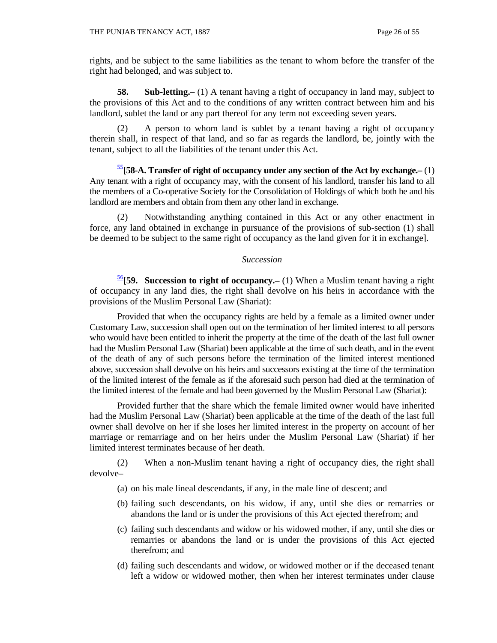rights, and be subject to the same liabilities as the tenant to whom before the transfer of the right had belonged, and was subject to.

**58.** Sub-letting.–(1) A tenant having a right of occupancy in land may, subject to the provisions of this Act and to the conditions of any written contract between him and his landlord, sublet the land or any part thereof for any term not exceeding seven years.

 (2) A person to whom land is sublet by a tenant having a right of occupancy therein shall, in respect of that land, and so far as regards the landlord, be, jointly with the tenant, subject to all the liabilities of the tenant under this Act.

 $\frac{55}{58}$ **[58-A. Transfer of right of occupancy under any section of the Act by exchange.**—(1) Any tenant with a right of occupancy may, with the consent of his landlord, transfer his land to all the members of a Co-operative Society for the Consolidation of Holdings of which both he and his landlord are members and obtain from them any other land in exchange.

 (2) Notwithstanding anything contained in this Act or any other enactment in force, any land obtained in exchange in pursuance of the provisions of sub-section (1) shall be deemed to be subject to the same right of occupancy as the land given for it in exchange].

#### *Succession*

<sup>56</sup>**[59. Succession to right of occupancy.–** (1) When a Muslim tenant having a right of occupancy in any land dies, the right shall devolve on his heirs in accordance with the provisions of the Muslim Personal Law (Shariat):

 Provided that when the occupancy rights are held by a female as a limited owner under Customary Law, succession shall open out on the termination of her limited interest to all persons who would have been entitled to inherit the property at the time of the death of the last full owner had the Muslim Personal Law (Shariat) been applicable at the time of such death, and in the event of the death of any of such persons before the termination of the limited interest mentioned above, succession shall devolve on his heirs and successors existing at the time of the termination of the limited interest of the female as if the aforesaid such person had died at the termination of the limited interest of the female and had been governed by the Muslim Personal Law (Shariat):

 Provided further that the share which the female limited owner would have inherited had the Muslim Personal Law (Shariat) been applicable at the time of the death of the last full owner shall devolve on her if she loses her limited interest in the property on account of her marriage or remarriage and on her heirs under the Muslim Personal Law (Shariat) if her limited interest terminates because of her death.

 (2) When a non-Muslim tenant having a right of occupancy dies, the right shall devolve–

- (a) on his male lineal descendants, if any, in the male line of descent; and
- (b) failing such descendants, on his widow, if any, until she dies or remarries or abandons the land or is under the provisions of this Act ejected therefrom; and
- (c) failing such descendants and widow or his widowed mother, if any, until she dies or remarries or abandons the land or is under the provisions of this Act ejected therefrom; and
- (d) failing such descendants and widow, or widowed mother or if the deceased tenant left a widow or widowed mother, then when her interest terminates under clause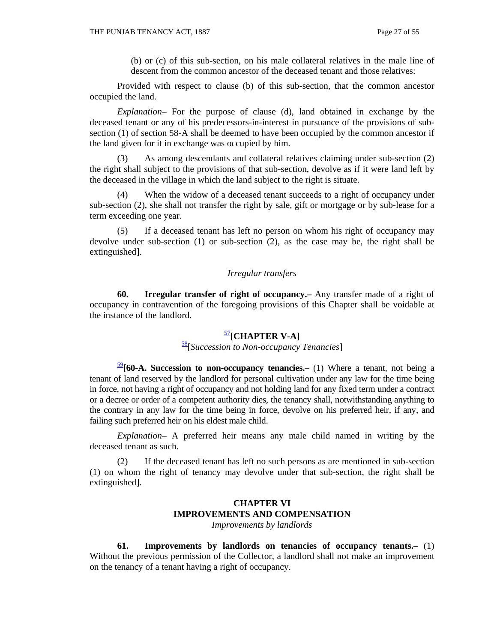(b) or (c) of this sub-section, on his male collateral relatives in the male line of descent from the common ancestor of the deceased tenant and those relatives:

 Provided with respect to clause (b) of this sub-section, that the common ancestor occupied the land.

 *Explanation*– For the purpose of clause (d), land obtained in exchange by the deceased tenant or any of his predecessors-in-interest in pursuance of the provisions of subsection (1) of section 58-A shall be deemed to have been occupied by the common ancestor if the land given for it in exchange was occupied by him.

 (3) As among descendants and collateral relatives claiming under sub-section (2) the right shall subject to the provisions of that sub-section, devolve as if it were land left by the deceased in the village in which the land subject to the right is situate.

 (4) When the widow of a deceased tenant succeeds to a right of occupancy under sub-section (2), she shall not transfer the right by sale, gift or mortgage or by sub-lease for a term exceeding one year.

 (5) If a deceased tenant has left no person on whom his right of occupancy may devolve under sub-section (1) or sub-section (2), as the case may be, the right shall be extinguished].

## *Irregular transfers*

 **60. Irregular transfer of right of occupancy.–** Any transfer made of a right of occupancy in contravention of the foregoing provisions of this Chapter shall be voidable at the instance of the landlord.

# <sup>57</sup>**[CHAPTER V-A]**

# 58[*Succession to Non-occupancy Tenancies*]

<sup>59</sup>**[60-A. Succession to non-occupancy tenancies.–** (1) Where a tenant, not being a tenant of land reserved by the landlord for personal cultivation under any law for the time being in force, not having a right of occupancy and not holding land for any fixed term under a contract or a decree or order of a competent authority dies, the tenancy shall, notwithstanding anything to the contrary in any law for the time being in force, devolve on his preferred heir, if any, and failing such preferred heir on his eldest male child.

 *Explanation*– A preferred heir means any male child named in writing by the deceased tenant as such.

 (2) If the deceased tenant has left no such persons as are mentioned in sub-section (1) on whom the right of tenancy may devolve under that sub-section, the right shall be extinguished].

# **CHAPTER VI IMPROVEMENTS AND COMPENSATION**

*Improvements by landlords*

 **61. Improvements by landlords on tenancies of occupancy tenants.–** (1) Without the previous permission of the Collector, a landlord shall not make an improvement on the tenancy of a tenant having a right of occupancy.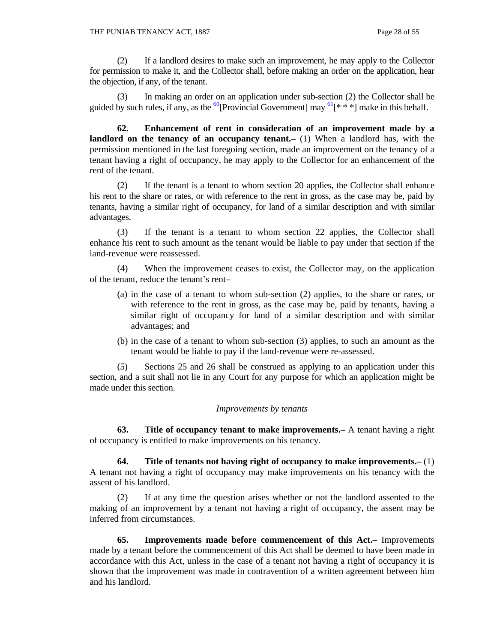(2) If a landlord desires to make such an improvement, he may apply to the Collector for permission to make it, and the Collector shall, before making an order on the application, hear the objection, if any, of the tenant.

 (3) In making an order on an application under sub-section (2) the Collector shall be guided by such rules, if any, as the  $\frac{60}{9}$ [Provincial Government] may  $\frac{61}{8}$ [\* \* \*] make in this behalf.

 **62. Enhancement of rent in consideration of an improvement made by a landlord on the tenancy of an occupancy tenant.** (1) When a landlord has, with the permission mentioned in the last foregoing section, made an improvement on the tenancy of a tenant having a right of occupancy, he may apply to the Collector for an enhancement of the rent of the tenant.

 (2) If the tenant is a tenant to whom section 20 applies, the Collector shall enhance his rent to the share or rates, or with reference to the rent in gross, as the case may be, paid by tenants, having a similar right of occupancy, for land of a similar description and with similar advantages.

 (3) If the tenant is a tenant to whom section 22 applies, the Collector shall enhance his rent to such amount as the tenant would be liable to pay under that section if the land-revenue were reassessed.

 (4) When the improvement ceases to exist, the Collector may, on the application of the tenant, reduce the tenant's rent–

- (a) in the case of a tenant to whom sub-section (2) applies, to the share or rates, or with reference to the rent in gross, as the case may be, paid by tenants, having a similar right of occupancy for land of a similar description and with similar advantages; and
- (b) in the case of a tenant to whom sub-section (3) applies, to such an amount as the tenant would be liable to pay if the land-revenue were re-assessed.

 (5) Sections 25 and 26 shall be construed as applying to an application under this section, and a suit shall not lie in any Court for any purpose for which an application might be made under this section.

#### *Improvements by tenants*

 **63. Title of occupancy tenant to make improvements.–** A tenant having a right of occupancy is entitled to make improvements on his tenancy.

 **64. Title of tenants not having right of occupancy to make improvements.–** (1) A tenant not having a right of occupancy may make improvements on his tenancy with the assent of his landlord.

 (2) If at any time the question arises whether or not the landlord assented to the making of an improvement by a tenant not having a right of occupancy, the assent may be inferred from circumstances.

 **65. Improvements made before commencement of this Act.–** Improvements made by a tenant before the commencement of this Act shall be deemed to have been made in accordance with this Act, unless in the case of a tenant not having a right of occupancy it is shown that the improvement was made in contravention of a written agreement between him and his landlord.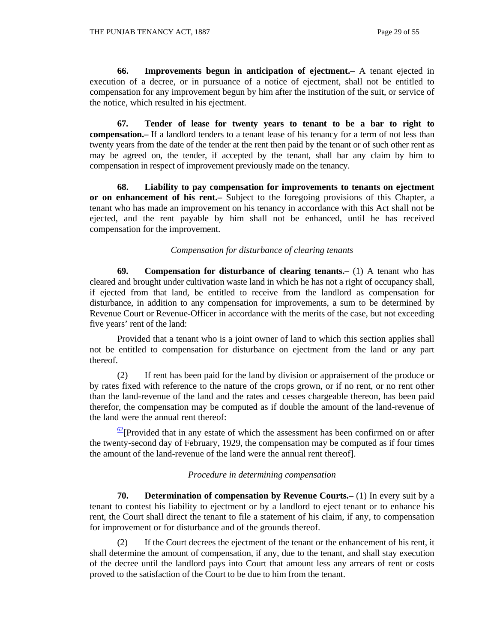**66. Improvements begun in anticipation of ejectment.–** A tenant ejected in execution of a decree, or in pursuance of a notice of ejectment, shall not be entitled to compensation for any improvement begun by him after the institution of the suit, or service of the notice, which resulted in his ejectment.

 **67. Tender of lease for twenty years to tenant to be a bar to right to compensation.–** If a landlord tenders to a tenant lease of his tenancy for a term of not less than twenty years from the date of the tender at the rent then paid by the tenant or of such other rent as may be agreed on, the tender, if accepted by the tenant, shall bar any claim by him to compensation in respect of improvement previously made on the tenancy.

 **68. Liability to pay compensation for improvements to tenants on ejectment or on enhancement of his rent.–** Subject to the foregoing provisions of this Chapter, a tenant who has made an improvement on his tenancy in accordance with this Act shall not be ejected, and the rent payable by him shall not be enhanced, until he has received compensation for the improvement.

## *Compensation for disturbance of clearing tenants*

 **69. Compensation for disturbance of clearing tenants.–** (1) A tenant who has cleared and brought under cultivation waste land in which he has not a right of occupancy shall, if ejected from that land, be entitled to receive from the landlord as compensation for disturbance, in addition to any compensation for improvements, a sum to be determined by Revenue Court or Revenue-Officer in accordance with the merits of the case, but not exceeding five years' rent of the land:

 Provided that a tenant who is a joint owner of land to which this section applies shall not be entitled to compensation for disturbance on ejectment from the land or any part thereof.

 (2) If rent has been paid for the land by division or appraisement of the produce or by rates fixed with reference to the nature of the crops grown, or if no rent, or no rent other than the land-revenue of the land and the rates and cesses chargeable thereon, has been paid therefor, the compensation may be computed as if double the amount of the land-revenue of the land were the annual rent thereof:

 $\frac{62}{2}$ [Provided that in any estate of which the assessment has been confirmed on or after the twenty-second day of February, 1929, the compensation may be computed as if four times the amount of the land-revenue of the land were the annual rent thereof].

#### *Procedure in determining compensation*

**70. Determination of compensation by Revenue Courts.**—(1) In every suit by a tenant to contest his liability to ejectment or by a landlord to eject tenant or to enhance his rent, the Court shall direct the tenant to file a statement of his claim, if any, to compensation for improvement or for disturbance and of the grounds thereof.

 (2) If the Court decrees the ejectment of the tenant or the enhancement of his rent, it shall determine the amount of compensation, if any, due to the tenant, and shall stay execution of the decree until the landlord pays into Court that amount less any arrears of rent or costs proved to the satisfaction of the Court to be due to him from the tenant.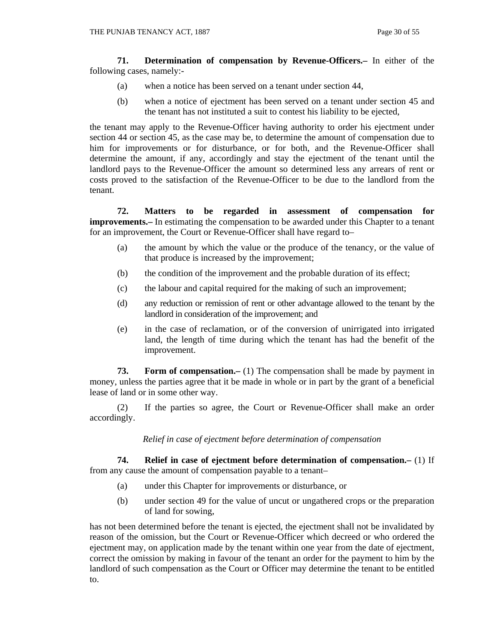**71. Determination of compensation by Revenue-Officers.–** In either of the following cases, namely:-

- (a) when a notice has been served on a tenant under section 44,
- (b) when a notice of ejectment has been served on a tenant under section 45 and the tenant has not instituted a suit to contest his liability to be ejected,

the tenant may apply to the Revenue-Officer having authority to order his ejectment under section 44 or section 45, as the case may be, to determine the amount of compensation due to him for improvements or for disturbance, or for both, and the Revenue-Officer shall determine the amount, if any, accordingly and stay the ejectment of the tenant until the landlord pays to the Revenue-Officer the amount so determined less any arrears of rent or costs proved to the satisfaction of the Revenue-Officer to be due to the landlord from the tenant.

 **72. Matters to be regarded in assessment of compensation for improvements.**— In estimating the compensation to be awarded under this Chapter to a tenant for an improvement, the Court or Revenue-Officer shall have regard to–

- (a) the amount by which the value or the produce of the tenancy, or the value of that produce is increased by the improvement;
- (b) the condition of the improvement and the probable duration of its effect;
- (c) the labour and capital required for the making of such an improvement;
- (d) any reduction or remission of rent or other advantage allowed to the tenant by the landlord in consideration of the improvement; and
- (e) in the case of reclamation, or of the conversion of unirrigated into irrigated land, the length of time during which the tenant has had the benefit of the improvement.

**73.** Form of compensation.— (1) The compensation shall be made by payment in money, unless the parties agree that it be made in whole or in part by the grant of a beneficial lease of land or in some other way.

 (2) If the parties so agree, the Court or Revenue-Officer shall make an order accordingly.

#### *Relief in case of ejectment before determination of compensation*

 **74. Relief in case of ejectment before determination of compensation.–** (1) If from any cause the amount of compensation payable to a tenant–

- (a) under this Chapter for improvements or disturbance, or
- (b) under section 49 for the value of uncut or ungathered crops or the preparation of land for sowing,

has not been determined before the tenant is ejected, the ejectment shall not be invalidated by reason of the omission, but the Court or Revenue-Officer which decreed or who ordered the ejectment may, on application made by the tenant within one year from the date of ejectment, correct the omission by making in favour of the tenant an order for the payment to him by the landlord of such compensation as the Court or Officer may determine the tenant to be entitled to.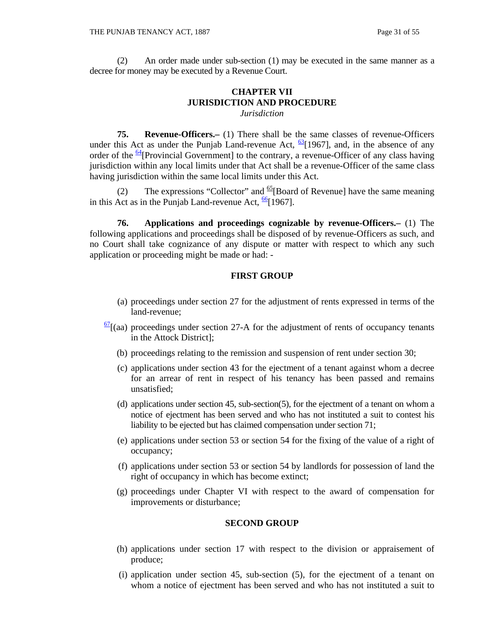(2) An order made under sub-section (1) may be executed in the same manner as a decree for money may be executed by a Revenue Court.

#### **CHAPTER VII JURISDICTION AND PROCEDURE**  *Jurisdiction*

 **75. Revenue-Officers.–** (1) There shall be the same classes of revenue-Officers under this Act as under the Punjab Land-revenue Act,  $\frac{63}{1967}$ , and, in the absence of any order of the  $64$ [Provincial Government] to the contrary, a revenue-Officer of any class having jurisdiction within any local limits under that Act shall be a revenue-Officer of the same class having jurisdiction within the same local limits under this Act.

(2) The expressions "Collector" and  $\frac{65}{2}$ [Board of Revenue] have the same meaning in this Act as in the Punjab Land-revenue Act,  $\frac{66}{1967}$ ].

 **76. Applications and proceedings cognizable by revenue-Officers.–** (1) The following applications and proceedings shall be disposed of by revenue-Officers as such, and no Court shall take cognizance of any dispute or matter with respect to which any such application or proceeding might be made or had: -

#### **FIRST GROUP**

- (a) proceedings under section 27 for the adjustment of rents expressed in terms of the land-revenue;
- $\frac{67}{1}$  (aa) proceedings under section 27-A for the adjustment of rents of occupancy tenants in the Attock District];
	- (b) proceedings relating to the remission and suspension of rent under section 30;
	- (c) applications under section 43 for the ejectment of a tenant against whom a decree for an arrear of rent in respect of his tenancy has been passed and remains unsatisfied;
	- (d) applications under section 45, sub-section(5), for the ejectment of a tenant on whom a notice of ejectment has been served and who has not instituted a suit to contest his liability to be ejected but has claimed compensation under section 71;
	- (e) applications under section 53 or section 54 for the fixing of the value of a right of occupancy;
	- (f) applications under section 53 or section 54 by landlords for possession of land the right of occupancy in which has become extinct;
	- (g) proceedings under Chapter VI with respect to the award of compensation for improvements or disturbance;

#### **SECOND GROUP**

- (h) applications under section 17 with respect to the division or appraisement of produce;
- (i) application under section 45, sub-section (5), for the ejectment of a tenant on whom a notice of ejectment has been served and who has not instituted a suit to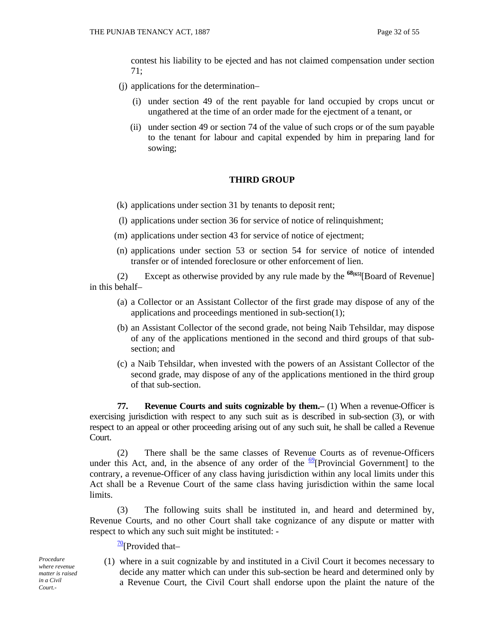contest his liability to be ejected and has not claimed compensation under section 71;

- (j) applications for the determination–
	- (i) under section 49 of the rent payable for land occupied by crops uncut or ungathered at the time of an order made for the ejectment of a tenant, or
	- (ii) under section 49 or section 74 of the value of such crops or of the sum payable to the tenant for labour and capital expended by him in preparing land for sowing;

#### **THIRD GROUP**

- (k) applications under section 31 by tenants to deposit rent;
- (l) applications under section 36 for service of notice of relinquishment;
- (m) applications under section 43 for service of notice of ejectment;
- (n) applications under section 53 or section 54 for service of notice of intended transfer or of intended foreclosure or other enforcement of lien.

 (2) Except as otherwise provided by any rule made by the **68[65]**[Board of Revenue] in this behalf–

- (a) a Collector or an Assistant Collector of the first grade may dispose of any of the applications and proceedings mentioned in sub-section(1);
- (b) an Assistant Collector of the second grade, not being Naib Tehsildar, may dispose of any of the applications mentioned in the second and third groups of that subsection; and
- (c) a Naib Tehsildar, when invested with the powers of an Assistant Collector of the second grade, may dispose of any of the applications mentioned in the third group of that sub-section.

**77.** Revenue Courts and suits cognizable by them. (1) When a revenue-Officer is exercising jurisdiction with respect to any such suit as is described in sub-section (3), or with respect to an appeal or other proceeding arising out of any such suit, he shall be called a Revenue Court.

 (2) There shall be the same classes of Revenue Courts as of revenue-Officers under this Act, and, in the absence of any order of the  $\frac{69}{9}$ [Provincial Government] to the contrary, a revenue-Officer of any class having jurisdiction within any local limits under this Act shall be a Revenue Court of the same class having jurisdiction within the same local limits.

 (3) The following suits shall be instituted in, and heard and determined by, Revenue Courts, and no other Court shall take cognizance of any dispute or matter with respect to which any such suit might be instituted: -

 $\frac{70}{2}$ [Provided that–

*Procedure where revenue matter is raised in a Civil Court.-* 

(1) where in a suit cognizable by and instituted in a Civil Court it becomes necessary to decide any matter which can under this sub-section be heard and determined only by a Revenue Court, the Civil Court shall endorse upon the plaint the nature of the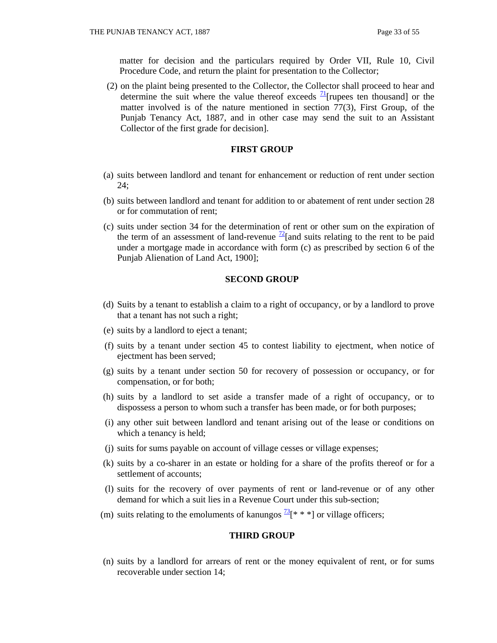matter for decision and the particulars required by Order VII, Rule 10, Civil Procedure Code, and return the plaint for presentation to the Collector;

 (2) on the plaint being presented to the Collector, the Collector shall proceed to hear and determine the suit where the value thereof exceeds  $\frac{1}{1}$ [rupees ten thousand] or the matter involved is of the nature mentioned in section 77(3), First Group, of the Punjab Tenancy Act, 1887, and in other case may send the suit to an Assistant Collector of the first grade for decision].

#### **FIRST GROUP**

- (a) suits between landlord and tenant for enhancement or reduction of rent under section 24;
- (b) suits between landlord and tenant for addition to or abatement of rent under section 28 or for commutation of rent;
- (c) suits under section 34 for the determination of rent or other sum on the expiration of the term of an assessment of land-revenue  $^{72}$ [and suits relating to the rent to be paid under a mortgage made in accordance with form (c) as prescribed by section 6 of the Punjab Alienation of Land Act, 1900];

#### **SECOND GROUP**

- (d) Suits by a tenant to establish a claim to a right of occupancy, or by a landlord to prove that a tenant has not such a right;
- (e) suits by a landlord to eject a tenant;
- (f) suits by a tenant under section 45 to contest liability to ejectment, when notice of ejectment has been served;
- (g) suits by a tenant under section 50 for recovery of possession or occupancy, or for compensation, or for both;
- (h) suits by a landlord to set aside a transfer made of a right of occupancy, or to dispossess a person to whom such a transfer has been made, or for both purposes;
- (i) any other suit between landlord and tenant arising out of the lease or conditions on which a tenancy is held;
- (j) suits for sums payable on account of village cesses or village expenses;
- (k) suits by a co-sharer in an estate or holding for a share of the profits thereof or for a settlement of accounts;
- (l) suits for the recovery of over payments of rent or land-revenue or of any other demand for which a suit lies in a Revenue Court under this sub-section;
- (m) suits relating to the emoluments of kanungos  $\frac{73}{8}$  \* \*  $\degree$  or village officers;

#### **THIRD GROUP**

 (n) suits by a landlord for arrears of rent or the money equivalent of rent, or for sums recoverable under section 14;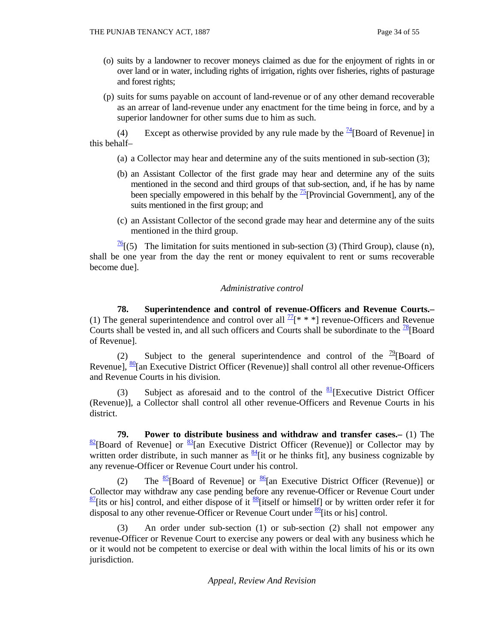- (o) suits by a landowner to recover moneys claimed as due for the enjoyment of rights in or over land or in water, including rights of irrigation, rights over fisheries, rights of pasturage and forest rights;
- (p) suits for sums payable on account of land-revenue or of any other demand recoverable as an arrear of land-revenue under any enactment for the time being in force, and by a superior landowner for other sums due to him as such.

(4) Except as otherwise provided by any rule made by the  $\frac{74}{18}$ [Board of Revenue] in this behalf–

- (a) a Collector may hear and determine any of the suits mentioned in sub-section (3);
- (b) an Assistant Collector of the first grade may hear and determine any of the suits mentioned in the second and third groups of that sub-section, and, if he has by name been specially empowered in this behalf by the  $\frac{75}{15}$ [Provincial Government], any of the suits mentioned in the first group; and
- (c) an Assistant Collector of the second grade may hear and determine any of the suits mentioned in the third group.

 $\frac{76}{6}$ [(5) The limitation for suits mentioned in sub-section (3) (Third Group), clause (n), shall be one year from the day the rent or money equivalent to rent or sums recoverable become due].

## *Administrative control*

 **78. Superintendence and control of revenue-Officers and Revenue Courts.–** (1) The general superintendence and control over all  $^{77}[***]$  revenue-Officers and Revenue Courts shall be vested in, and all such officers and Courts shall be subordinate to the  $\frac{78}{8}$ [Board] of Revenue].

(2) Subject to the general superintendence and control of the  $\frac{79}{2}$ [Board of Revenue],  $\frac{80}{6}$ [an Executive District Officer (Revenue)] shall control all other revenue-Officers and Revenue Courts in his division.

(3) Subject as aforesaid and to the control of the  $\frac{81}{8}$ [Executive District Officer (Revenue)], a Collector shall control all other revenue-Officers and Revenue Courts in his district.

 **79. Power to distribute business and withdraw and transfer cases.–** (1) The  $\frac{82}{8}$ [Board of Revenue] or  $\frac{83}{8}$ [an Executive District Officer (Revenue)] or Collector may by written order distribute, in such manner as  $\frac{84}{1}$  it or he thinks fit], any business cognizable by any revenue-Officer or Revenue Court under his control.

(2) The  $\frac{85}{6}$ [Board of Revenue] or  $\frac{86}{6}$ [an Executive District Officer (Revenue)] or Collector may withdraw any case pending before any revenue-Officer or Revenue Court under  $\frac{87}{8}$ [its or his] control, and either dispose of it  $\frac{88}{8}$ [itself or himself] or by written order refer it for disposal to any other revenue-Officer or Revenue Court under <sup>89</sup> [its or his] control.

 (3) An order under sub-section (1) or sub-section (2) shall not empower any revenue-Officer or Revenue Court to exercise any powers or deal with any business which he or it would not be competent to exercise or deal with within the local limits of his or its own jurisdiction.

*Appeal, Review And Revision*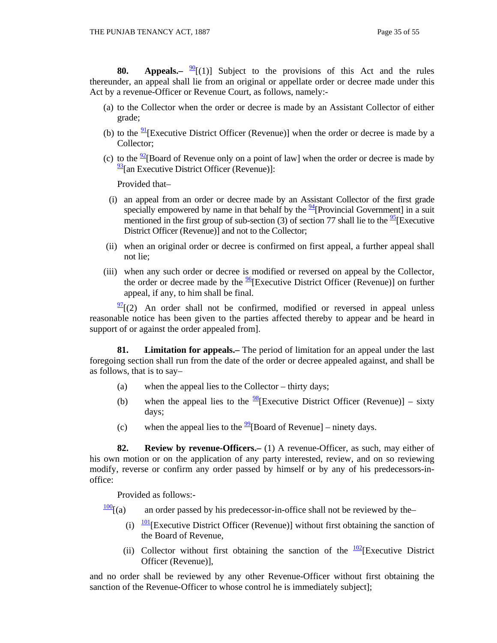**80.** Appeals.  $\frac{90}{2}$  [(1)] Subject to the provisions of this Act and the rules thereunder, an appeal shall lie from an original or appellate order or decree made under this Act by a revenue-Officer or Revenue Court, as follows, namely:-

- (a) to the Collector when the order or decree is made by an Assistant Collector of either grade;
- (b) to the  $\frac{91}{2}$ [Executive District Officer (Revenue)] when the order or decree is made by a Collector;
- (c) to the  $\frac{92}{2}$ [Board of Revenue only on a point of law] when the order or decree is made by  $\frac{93}{93}$ [an Executive District Officer (Revenue)]:

Provided that–

- (i) an appeal from an order or decree made by an Assistant Collector of the first grade specially empowered by name in that behalf by the  $\frac{94}{1}$ [Provincial Government] in a suit mentioned in the first group of sub-section (3) of section 77 shall lie to the  $\frac{95}{5}$ [Executive District Officer (Revenue)] and not to the Collector;
- (ii) when an original order or decree is confirmed on first appeal, a further appeal shall not lie;
- (iii) when any such order or decree is modified or reversed on appeal by the Collector, the order or decree made by the  $\frac{96}{6}$ [Executive District Officer (Revenue)] on further appeal, if any, to him shall be final.

 $\frac{97}{2}$ [(2) An order shall not be confirmed, modified or reversed in appeal unless reasonable notice has been given to the parties affected thereby to appear and be heard in support of or against the order appealed from].

 **81. Limitation for appeals.–** The period of limitation for an appeal under the last foregoing section shall run from the date of the order or decree appealed against, and shall be as follows, that is to say–

- (a) when the appeal lies to the Collector thirty days;
- (b) when the appeal lies to the  $\frac{98}{8}$ [Executive District Officer (Revenue)] sixty days;
- (c) when the appeal lies to the  $\frac{99}{9}$ [Board of Revenue] ninety days.

 **82. Review by revenue-Officers.–** (1) A revenue-Officer, as such, may either of his own motion or on the application of any party interested, review, and on so reviewing modify, reverse or confirm any order passed by himself or by any of his predecessors-inoffice:

Provided as follows:-

- $\frac{100}{100}$ [(a) an order passed by his predecessor-in-office shall not be reviewed by the–
	- (i)  $\frac{101}{2}$ [Executive District Officer (Revenue)] without first obtaining the sanction of the Board of Revenue,
	- (ii) Collector without first obtaining the sanction of the  $\frac{102}{2}$ [Executive District Officer (Revenue)],

and no order shall be reviewed by any other Revenue-Officer without first obtaining the sanction of the Revenue-Officer to whose control he is immediately subject];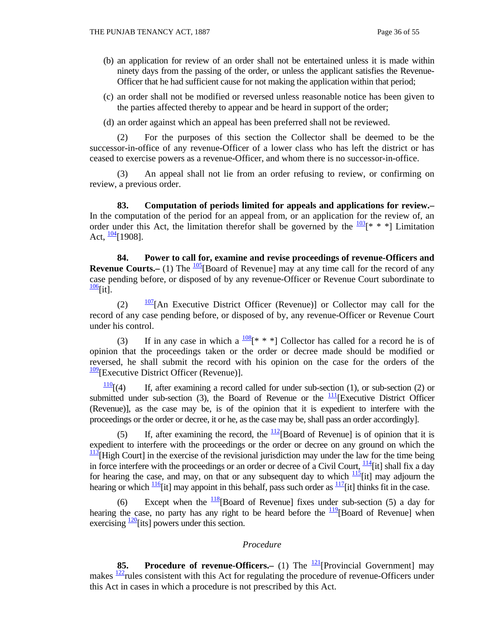- (b) an application for review of an order shall not be entertained unless it is made within ninety days from the passing of the order, or unless the applicant satisfies the Revenue-Officer that he had sufficient cause for not making the application within that period;
- (c) an order shall not be modified or reversed unless reasonable notice has been given to the parties affected thereby to appear and be heard in support of the order;
- (d) an order against which an appeal has been preferred shall not be reviewed.

 (2) For the purposes of this section the Collector shall be deemed to be the successor-in-office of any revenue-Officer of a lower class who has left the district or has ceased to exercise powers as a revenue-Officer, and whom there is no successor-in-office.

 (3) An appeal shall not lie from an order refusing to review, or confirming on review, a previous order.

 **83. Computation of periods limited for appeals and applications for review.–** In the computation of the period for an appeal from, or an application for the review of, an order under this Act, the limitation therefor shall be governed by the  $\frac{103}{8}$ <sup>\*</sup> \* \*] Limitation Act,  $\frac{104}{1908}$ .

 **84. Power to call for, examine and revise proceedings of revenue-Officers and Revenue Courts.–** (1) The  $\frac{105}{6}$ [Board of Revenue] may at any time call for the record of any case pending before, or disposed of by any revenue-Officer or Revenue Court subordinate to  $\frac{106}{1}$ [it].

(2)  $\frac{107}{107}$ [An Executive District Officer (Revenue)] or Collector may call for the record of any case pending before, or disposed of by, any revenue-Officer or Revenue Court under his control.

(3) If in any case in which a  $\frac{108}{8}$ [\* \* \*] Collector has called for a record he is of opinion that the proceedings taken or the order or decree made should be modified or reversed, he shall submit the record with his opinion on the case for the orders of the  $\frac{109}{2}$ [Executive District Officer (Revenue)].

 $\frac{110}{110}$ [(4) If, after examining a record called for under sub-section (1), or sub-section (2) or submitted under sub-section (3), the Board of Revenue or the  $\frac{111}{12}$ [Executive District Officer (Revenue)], as the case may be, is of the opinion that it is expedient to interfere with the proceedings or the order or decree, it or he, as the case may be, shall pass an order accordingly].

(5) If, after examining the record, the  $\frac{112}{12}$ [Board of Revenue] is of opinion that it is expedient to interfere with the proceedings or the order or decree on any ground on which the  $\frac{113}{113}$ [High Court] in the exercise of the revisional jurisdiction may under the law for the time being in force interfere with the proceedings or an order or decree of a Civil Court,  $\frac{114}{111}$  shall fix a day for hearing the case, and may, on that or any subsequent day to which  $\frac{115}{11}$  may adjourn the hearing or which  $\frac{116}{116}$  [it] may appoint in this behalf, pass such order as  $\frac{117}{116}$  thinks fit in the case.

(6) Except when the  $\frac{118}{18}$ [Board of Revenue] fixes under sub-section (5) a day for hearing the case, no party has any right to be heard before the  $\frac{119}{12}$ [Board of Revenue] when exercising  $\frac{120}{15}$  [its] powers under this section.

#### *Procedure*

**85. Procedure of revenue-Officers.** (1) The <sup>121</sup>[Provincial Government] may makes  $\frac{122}{2}$  rules consistent with this Act for regulating the procedure of revenue-Officers under this Act in cases in which a procedure is not prescribed by this Act.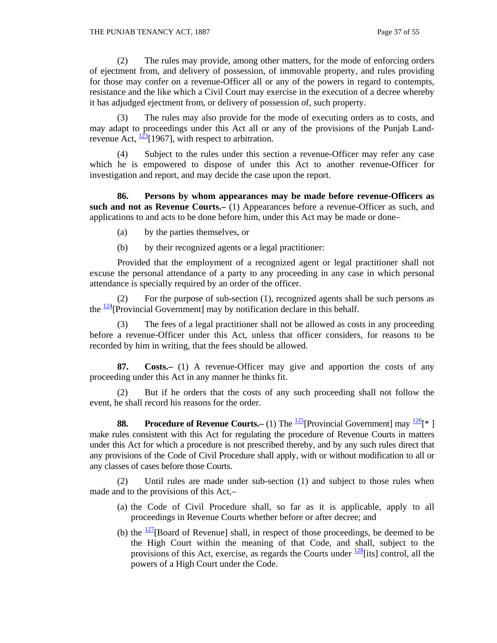(2) The rules may provide, among other matters, for the mode of enforcing orders of ejectment from, and delivery of possession, of immovable property, and rules providing for those may confer on a revenue-Officer all or any of the powers in regard to contempts, resistance and the like which a Civil Court may exercise in the execution of a decree whereby it has adjudged ejectment from, or delivery of possession of, such property.

 (3) The rules may also provide for the mode of executing orders as to costs, and may adapt to proceedings under this Act all or any of the provisions of the Punjab Landrevenue Act,  $\frac{123}{2}$ [1967], with respect to arbitration.

 (4) Subject to the rules under this section a revenue-Officer may refer any case which he is empowered to dispose of under this Act to another revenue-Officer for investigation and report, and may decide the case upon the report.

 **86. Persons by whom appearances may be made before revenue-Officers as such and not as Revenue Courts.–** (1) Appearances before a revenue-Officer as such, and applications to and acts to be done before him, under this Act may be made or done–

- (a) by the parties themselves, or
- (b) by their recognized agents or a legal practitioner:

 Provided that the employment of a recognized agent or legal practitioner shall not excuse the personal attendance of a party to any proceeding in any case in which personal attendance is specially required by an order of the officer.

 (2) For the purpose of sub-section (1), recognized agents shall be such persons as the  $\frac{124}{2}$ [Provincial Government] may by notification declare in this behalf.

 (3) The fees of a legal practitioner shall not be allowed as costs in any proceeding before a revenue-Officer under this Act, unless that officer considers, for reasons to be recorded by him in writing, that the fees should be allowed.

 **87. Costs.–** (1) A revenue-Officer may give and apportion the costs of any proceeding under this Act in any manner he thinks fit.

 (2) But if he orders that the costs of any such proceeding shall not follow the event, he shall record his reasons for the order.

**88.** Procedure of Revenue Courts.– (1) The  $\frac{125}{2}$ [Provincial Government] may  $\frac{126}{5}$ [\*] make rules consistent with this Act for regulating the procedure of Revenue Courts in matters under this Act for which a procedure is not prescribed thereby, and by any such rules direct that any provisions of the Code of Civil Procedure shall apply, with or without modification to all or any classes of cases before those Courts.

 (2) Until rules are made under sub-section (1) and subject to those rules when made and to the provisions of this Act,–

- (a) the Code of Civil Procedure shall, so far as it is applicable, apply to all proceedings in Revenue Courts whether before or after decree; and
- (b) the  $\frac{127}{180}$ [Board of Revenue] shall, in respect of those proceedings, be deemed to be the High Court within the meaning of that Code, and shall, subject to the provisions of this Act, exercise, as regards the Courts under  $\frac{128}{128}$ [its] control, all the powers of a High Court under the Code.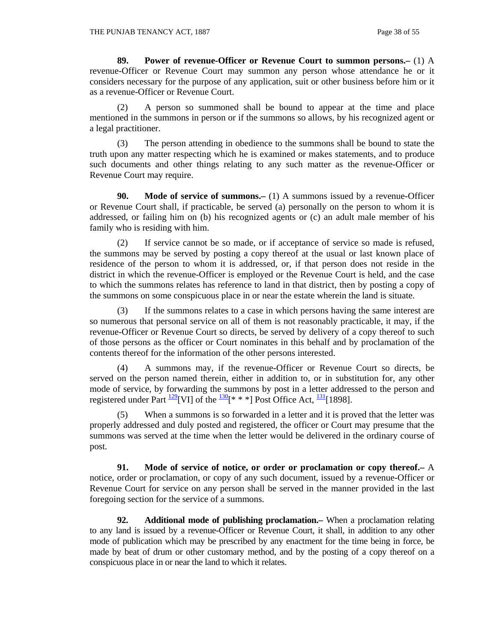**89. Power of revenue-Officer or Revenue Court to summon persons.–** (1) A revenue-Officer or Revenue Court may summon any person whose attendance he or it considers necessary for the purpose of any application, suit or other business before him or it as a revenue-Officer or Revenue Court.

 (2) A person so summoned shall be bound to appear at the time and place mentioned in the summons in person or if the summons so allows, by his recognized agent or a legal practitioner.

 (3) The person attending in obedience to the summons shall be bound to state the truth upon any matter respecting which he is examined or makes statements, and to produce such documents and other things relating to any such matter as the revenue-Officer or Revenue Court may require.

**90.** Mode of service of summons. (1) A summons issued by a revenue-Officer or Revenue Court shall, if practicable, be served (a) personally on the person to whom it is addressed, or failing him on (b) his recognized agents or (c) an adult male member of his family who is residing with him.

 (2) If service cannot be so made, or if acceptance of service so made is refused, the summons may be served by posting a copy thereof at the usual or last known place of residence of the person to whom it is addressed, or, if that person does not reside in the district in which the revenue-Officer is employed or the Revenue Court is held, and the case to which the summons relates has reference to land in that district, then by posting a copy of the summons on some conspicuous place in or near the estate wherein the land is situate.

 (3) If the summons relates to a case in which persons having the same interest are so numerous that personal service on all of them is not reasonably practicable, it may, if the revenue-Officer or Revenue Court so directs, be served by delivery of a copy thereof to such of those persons as the officer or Court nominates in this behalf and by proclamation of the contents thereof for the information of the other persons interested.

 (4) A summons may, if the revenue-Officer or Revenue Court so directs, be served on the person named therein, either in addition to, or in substitution for, any other mode of service, by forwarding the summons by post in a letter addressed to the person and registered under Part  $\frac{129}{2}$ [VI] of the  $\frac{130}{8}$ [\* \* \*] Post Office Act,  $\frac{131}{1898}$ ].

 (5) When a summons is so forwarded in a letter and it is proved that the letter was properly addressed and duly posted and registered, the officer or Court may presume that the summons was served at the time when the letter would be delivered in the ordinary course of post.

 **91. Mode of service of notice, or order or proclamation or copy thereof.–** A notice, order or proclamation, or copy of any such document, issued by a revenue-Officer or Revenue Court for service on any person shall be served in the manner provided in the last foregoing section for the service of a summons.

 **92. Additional mode of publishing proclamation.–** When a proclamation relating to any land is issued by a revenue-Officer or Revenue Court, it shall, in addition to any other mode of publication which may be prescribed by any enactment for the time being in force, be made by beat of drum or other customary method, and by the posting of a copy thereof on a conspicuous place in or near the land to which it relates.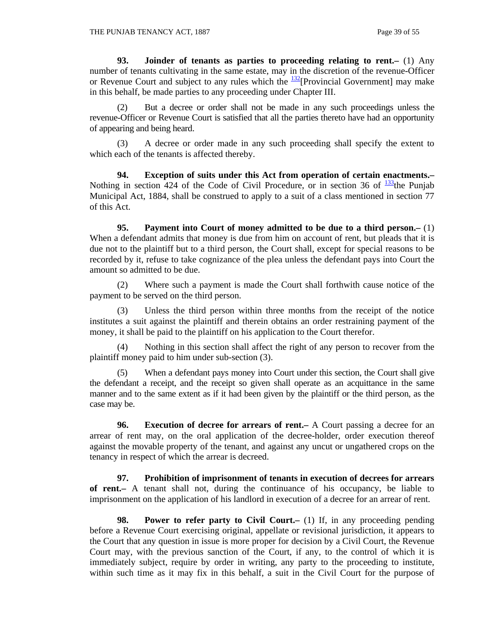**93. Joinder of tenants as parties to proceeding relating to rent.–** (1) Any number of tenants cultivating in the same estate, may in the discretion of the revenue-Officer or Revenue Court and subject to any rules which the  $\frac{132}{2}$ [Provincial Government] may make in this behalf, be made parties to any proceeding under Chapter III.

 (2) But a decree or order shall not be made in any such proceedings unless the revenue-Officer or Revenue Court is satisfied that all the parties thereto have had an opportunity of appearing and being heard.

 (3) A decree or order made in any such proceeding shall specify the extent to which each of the tenants is affected thereby.

 **94. Exception of suits under this Act from operation of certain enactments.–** Nothing in section 424 of the Code of Civil Procedure, or in section 36 of  $\frac{133}{13}$ the Punjab Municipal Act, 1884, shall be construed to apply to a suit of a class mentioned in section 77 of this Act.

 **95. Payment into Court of money admitted to be due to a third person.–** (1) When a defendant admits that money is due from him on account of rent, but pleads that it is due not to the plaintiff but to a third person, the Court shall, except for special reasons to be recorded by it, refuse to take cognizance of the plea unless the defendant pays into Court the amount so admitted to be due.

 (2) Where such a payment is made the Court shall forthwith cause notice of the payment to be served on the third person.

 (3) Unless the third person within three months from the receipt of the notice institutes a suit against the plaintiff and therein obtains an order restraining payment of the money, it shall be paid to the plaintiff on his application to the Court therefor.

 (4) Nothing in this section shall affect the right of any person to recover from the plaintiff money paid to him under sub-section (3).

When a defendant pays money into Court under this section, the Court shall give the defendant a receipt, and the receipt so given shall operate as an acquittance in the same manner and to the same extent as if it had been given by the plaintiff or the third person, as the case may be.

 **96. Execution of decree for arrears of rent.–** A Court passing a decree for an arrear of rent may, on the oral application of the decree-holder, order execution thereof against the movable property of the tenant, and against any uncut or ungathered crops on the tenancy in respect of which the arrear is decreed.

 **97. Prohibition of imprisonment of tenants in execution of decrees for arrears of rent.–** A tenant shall not, during the continuance of his occupancy, be liable to imprisonment on the application of his landlord in execution of a decree for an arrear of rent.

**98. Power to refer party to Civil Court.** (1) If, in any proceeding pending before a Revenue Court exercising original, appellate or revisional jurisdiction, it appears to the Court that any question in issue is more proper for decision by a Civil Court, the Revenue Court may, with the previous sanction of the Court, if any, to the control of which it is immediately subject, require by order in writing, any party to the proceeding to institute, within such time as it may fix in this behalf, a suit in the Civil Court for the purpose of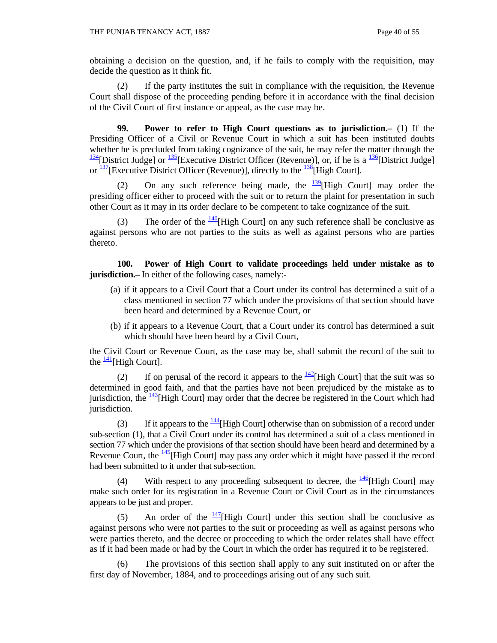obtaining a decision on the question, and, if he fails to comply with the requisition, may decide the question as it think fit.

 (2) If the party institutes the suit in compliance with the requisition, the Revenue Court shall dispose of the proceeding pending before it in accordance with the final decision of the Civil Court of first instance or appeal, as the case may be.

 **99. Power to refer to High Court questions as to jurisdiction.–** (1) If the Presiding Officer of a Civil or Revenue Court in which a suit has been instituted doubts whether he is precluded from taking cognizance of the suit, he may refer the matter through the  $\frac{134}{2}$ [District Judge] or  $\frac{135}{2}$ [Executive District Officer (Revenue)], or, if he is a  $\frac{136}{2}$ [District Judge] or  $\frac{137}{137}$ [Executive District Officer (Revenue)], directly to the  $\frac{138}{138}$ [High Court].

(2) On any such reference being made, the  $\frac{139}{136}$ [High Court] may order the presiding officer either to proceed with the suit or to return the plaint for presentation in such other Court as it may in its order declare to be competent to take cognizance of the suit.

(3) The order of the  $\frac{140}{140}$ [High Court] on any such reference shall be conclusive as against persons who are not parties to the suits as well as against persons who are parties thereto.

 **100. Power of High Court to validate proceedings held under mistake as to jurisdiction.**— In either of the following cases, namely:-

- (a) if it appears to a Civil Court that a Court under its control has determined a suit of a class mentioned in section 77 which under the provisions of that section should have been heard and determined by a Revenue Court, or
- (b) if it appears to a Revenue Court, that a Court under its control has determined a suit which should have been heard by a Civil Court,

the Civil Court or Revenue Court, as the case may be, shall submit the record of the suit to the  $\frac{141}{14}$ [High Court].

(2) If on perusal of the record it appears to the  $\frac{142}{142}$ [High Court] that the suit was so determined in good faith, and that the parties have not been prejudiced by the mistake as to jurisdiction, the  $\frac{143}{14}$ [High Court] may order that the decree be registered in the Court which had jurisdiction.

(3) If it appears to the  $\frac{144}{14}$ [High Court] otherwise than on submission of a record under sub-section (1), that a Civil Court under its control has determined a suit of a class mentioned in section 77 which under the provisions of that section should have been heard and determined by a Revenue Court, the  $\frac{145}{145}$ [High Court] may pass any order which it might have passed if the record had been submitted to it under that sub-section.

(4) With respect to any proceeding subsequent to decree, the  $\frac{146}{14}$ [High Court] may make such order for its registration in a Revenue Court or Civil Court as in the circumstances appears to be just and proper.

(5) An order of the  $\frac{147}{141}$ [High Court] under this section shall be conclusive as against persons who were not parties to the suit or proceeding as well as against persons who were parties thereto, and the decree or proceeding to which the order relates shall have effect as if it had been made or had by the Court in which the order has required it to be registered.

 (6) The provisions of this section shall apply to any suit instituted on or after the first day of November, 1884, and to proceedings arising out of any such suit.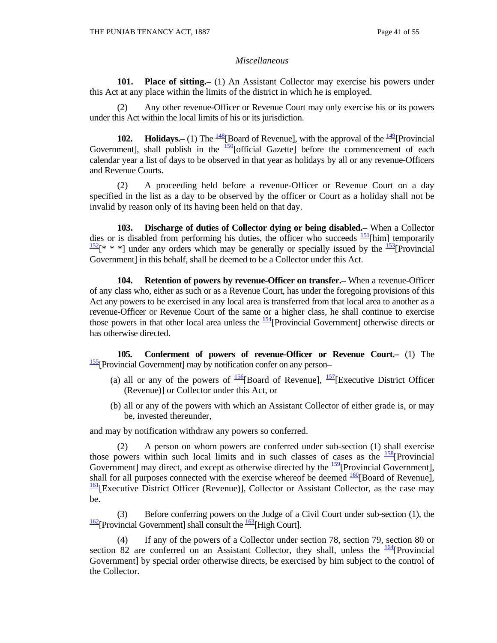#### *Miscellaneous*

 **101. Place of sitting.–** (1) An Assistant Collector may exercise his powers under this Act at any place within the limits of the district in which he is employed.

 (2) Any other revenue-Officer or Revenue Court may only exercise his or its powers under this Act within the local limits of his or its jurisdiction.

 **102. Holidays.–** (1) The  $\frac{148}{8}$ [Board of Revenue], with the approval of the  $\frac{149}{8}$ [Provincial] Government], shall publish in the  $\frac{150}{150}$ [official Gazette] before the commencement of each calendar year a list of days to be observed in that year as holidays by all or any revenue-Officers and Revenue Courts.

 (2) A proceeding held before a revenue-Officer or Revenue Court on a day specified in the list as a day to be observed by the officer or Court as a holiday shall not be invalid by reason only of its having been held on that day.

 **103. Discharge of duties of Collector dying or being disabled.–** When a Collector dies or is disabled from performing his duties, the officer who succeeds  $\frac{151}{2}$ [him] temporarily  $\frac{152}{8}$  \* \* a under any orders which may be generally or specially issued by the  $\frac{153}{8}$ [Provincial] Government] in this behalf, shall be deemed to be a Collector under this Act.

 **104. Retention of powers by revenue-Officer on transfer.–** When a revenue-Officer of any class who, either as such or as a Revenue Court, has under the foregoing provisions of this Act any powers to be exercised in any local area is transferred from that local area to another as a revenue-Officer or Revenue Court of the same or a higher class, he shall continue to exercise those powers in that other local area unless the  $\frac{154}{2}$ [Provincial Government] otherwise directs or has otherwise directed.

 **105. Conferment of powers of revenue-Officer or Revenue Court.–** (1) The <sup>155</sup>[Provincial Government] may by notification confer on any person–

- (a) all or any of the powers of  $\frac{156}{6}$ [Board of Revenue],  $\frac{157}{6}$ [Executive District Officer (Revenue)] or Collector under this Act, or
- (b) all or any of the powers with which an Assistant Collector of either grade is, or may be, invested thereunder,

and may by notification withdraw any powers so conferred.

 (2) A person on whom powers are conferred under sub-section (1) shall exercise those powers within such local limits and in such classes of cases as the  $\frac{158}{158}$ [Provincial] Government] may direct, and except as otherwise directed by the  $\frac{159}{2}$ [Provincial Government], shall for all purposes connected with the exercise whereof be deemed  $\frac{160}{160}$ [Board of Revenue], <sup>161</sup>[Executive District Officer (Revenue)], Collector or Assistant Collector, as the case may be.

 (3) Before conferring powers on the Judge of a Civil Court under sub-section (1), the  $\frac{162}{2}$ [Provincial Government] shall consult the  $\frac{163}{2}$ [High Court].

 (4) If any of the powers of a Collector under section 78, section 79, section 80 or section 82 are conferred on an Assistant Collector, they shall, unless the  $\frac{164}{18}$ [Provincial] Government] by special order otherwise directs, be exercised by him subject to the control of the Collector.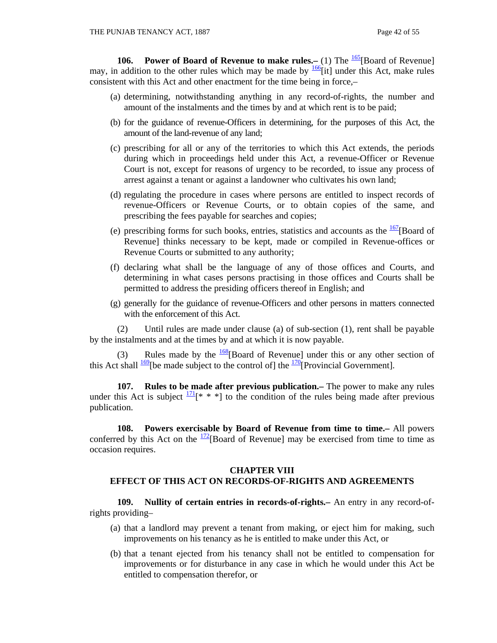**106. Power of Board of Revenue to make rules.**– (1) The  $\frac{165}{16}$ [Board of Revenue] may, in addition to the other rules which may be made by  $\frac{166}{1}$  under this Act, make rules consistent with this Act and other enactment for the time being in force,–

- (a) determining, notwithstanding anything in any record-of-rights, the number and amount of the instalments and the times by and at which rent is to be paid;
- (b) for the guidance of revenue-Officers in determining, for the purposes of this Act, the amount of the land-revenue of any land;
- (c) prescribing for all or any of the territories to which this Act extends, the periods during which in proceedings held under this Act, a revenue-Officer or Revenue Court is not, except for reasons of urgency to be recorded, to issue any process of arrest against a tenant or against a landowner who cultivates his own land;
- (d) regulating the procedure in cases where persons are entitled to inspect records of revenue-Officers or Revenue Courts, or to obtain copies of the same, and prescribing the fees payable for searches and copies;
- (e) prescribing forms for such books, entries, statistics and accounts as the  $\frac{167}{180}$ [Board of Revenue] thinks necessary to be kept, made or compiled in Revenue-offices or Revenue Courts or submitted to any authority;
- (f) declaring what shall be the language of any of those offices and Courts, and determining in what cases persons practising in those offices and Courts shall be permitted to address the presiding officers thereof in English; and
- (g) generally for the guidance of revenue-Officers and other persons in matters connected with the enforcement of this Act.

 (2) Until rules are made under clause (a) of sub-section (1), rent shall be payable by the instalments and at the times by and at which it is now payable.

(3) Rules made by the  $\frac{168}{168}$ [Board of Revenue] under this or any other section of this Act shall  $\frac{169}{16}$ [be made subject to the control of] the  $\frac{170}{120}$ [Provincial Government].

 **107. Rules to be made after previous publication.–** The power to make any rules under this Act is subject  $\frac{171}{8}$  \* \* | to the condition of the rules being made after previous publication.

 **108. Powers exercisable by Board of Revenue from time to time.–** All powers conferred by this Act on the  $\frac{172}{2}$ [Board of Revenue] may be exercised from time to time as occasion requires.

#### **CHAPTER VIII**

#### **EFFECT OF THIS ACT ON RECORDS-OF-RIGHTS AND AGREEMENTS**

 **109. Nullity of certain entries in records-of-rights.–** An entry in any record-ofrights providing–

- (a) that a landlord may prevent a tenant from making, or eject him for making, such improvements on his tenancy as he is entitled to make under this Act, or
- (b) that a tenant ejected from his tenancy shall not be entitled to compensation for improvements or for disturbance in any case in which he would under this Act be entitled to compensation therefor, or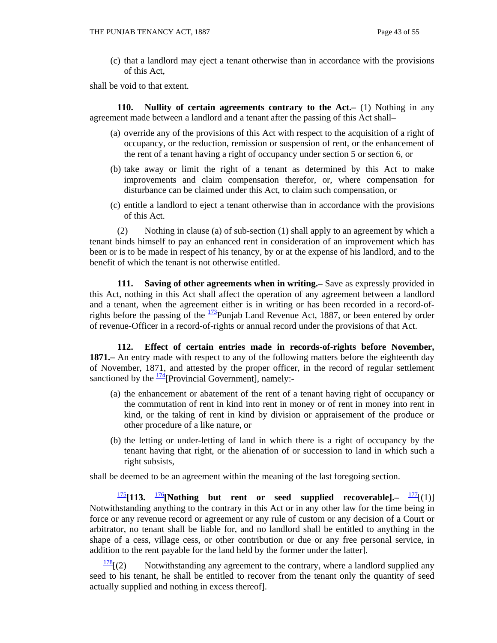(c) that a landlord may eject a tenant otherwise than in accordance with the provisions of this Act,

shall be void to that extent.

 **110. Nullity of certain agreements contrary to the Act.–** (1) Nothing in any agreement made between a landlord and a tenant after the passing of this Act shall–

- (a) override any of the provisions of this Act with respect to the acquisition of a right of occupancy, or the reduction, remission or suspension of rent, or the enhancement of the rent of a tenant having a right of occupancy under section 5 or section 6, or
- (b) take away or limit the right of a tenant as determined by this Act to make improvements and claim compensation therefor, or, where compensation for disturbance can be claimed under this Act, to claim such compensation, or
- (c) entitle a landlord to eject a tenant otherwise than in accordance with the provisions of this Act.

 (2) Nothing in clause (a) of sub-section (1) shall apply to an agreement by which a tenant binds himself to pay an enhanced rent in consideration of an improvement which has been or is to be made in respect of his tenancy, by or at the expense of his landlord, and to the benefit of which the tenant is not otherwise entitled.

**111.** Saving of other agreements when in writing.— Save as expressly provided in this Act, nothing in this Act shall affect the operation of any agreement between a landlord and a tenant, when the agreement either is in writing or has been recorded in a record-ofrights before the passing of the  $\frac{173}{2}$ Punjab Land Revenue Act, 1887, or been entered by order of revenue-Officer in a record-of-rights or annual record under the provisions of that Act.

 **112. Effect of certain entries made in records-of-rights before November, 1871.–** An entry made with respect to any of the following matters before the eighteenth day of November, 1871, and attested by the proper officer, in the record of regular settlement sanctioned by the  $\frac{174}{2}$ [Provincial Government], namely:-

- (a) the enhancement or abatement of the rent of a tenant having right of occupancy or the commutation of rent in kind into rent in money or of rent in money into rent in kind, or the taking of rent in kind by division or appraisement of the produce or other procedure of a like nature, or
- (b) the letting or under-letting of land in which there is a right of occupancy by the tenant having that right, or the alienation of or succession to land in which such a right subsists,

shall be deemed to be an agreement within the meaning of the last foregoing section.

<sup>175</sup>**[113.** <sup>176</sup>**[Nothing but rent or seed supplied recoverable].–** 177[(1)] Notwithstanding anything to the contrary in this Act or in any other law for the time being in force or any revenue record or agreement or any rule of custom or any decision of a Court or arbitrator, no tenant shall be liable for, and no landlord shall be entitled to anything in the shape of a cess, village cess, or other contribution or due or any free personal service, in addition to the rent payable for the land held by the former under the latter].

 $\frac{178}{2}$ [(2) Notwithstanding any agreement to the contrary, where a landlord supplied any seed to his tenant, he shall be entitled to recover from the tenant only the quantity of seed actually supplied and nothing in excess thereof].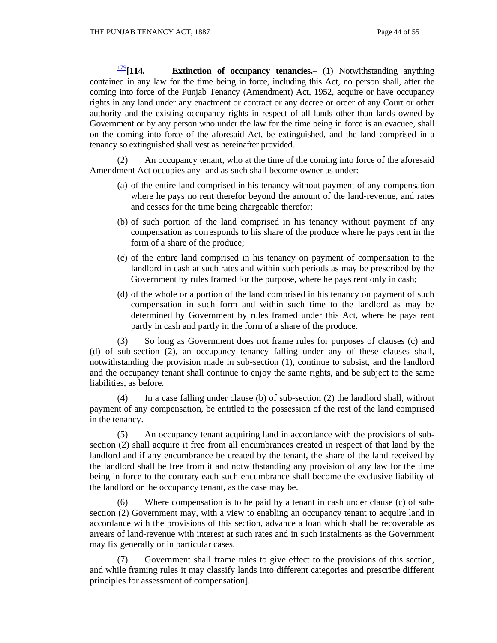<sup>179</sup>**[114. Extinction of occupancy tenancies.–** (1) Notwithstanding anything contained in any law for the time being in force, including this Act, no person shall, after the coming into force of the Punjab Tenancy (Amendment) Act, 1952, acquire or have occupancy rights in any land under any enactment or contract or any decree or order of any Court or other authority and the existing occupancy rights in respect of all lands other than lands owned by Government or by any person who under the law for the time being in force is an evacuee, shall on the coming into force of the aforesaid Act, be extinguished, and the land comprised in a tenancy so extinguished shall vest as hereinafter provided.

 (2) An occupancy tenant, who at the time of the coming into force of the aforesaid Amendment Act occupies any land as such shall become owner as under:-

- (a) of the entire land comprised in his tenancy without payment of any compensation where he pays no rent therefor beyond the amount of the land-revenue, and rates and cesses for the time being chargeable therefor;
- (b) of such portion of the land comprised in his tenancy without payment of any compensation as corresponds to his share of the produce where he pays rent in the form of a share of the produce;
- (c) of the entire land comprised in his tenancy on payment of compensation to the landlord in cash at such rates and within such periods as may be prescribed by the Government by rules framed for the purpose, where he pays rent only in cash;
- (d) of the whole or a portion of the land comprised in his tenancy on payment of such compensation in such form and within such time to the landlord as may be determined by Government by rules framed under this Act, where he pays rent partly in cash and partly in the form of a share of the produce.

 (3) So long as Government does not frame rules for purposes of clauses (c) and (d) of sub-section (2), an occupancy tenancy falling under any of these clauses shall, notwithstanding the provision made in sub-section (1), continue to subsist, and the landlord and the occupancy tenant shall continue to enjoy the same rights, and be subject to the same liabilities, as before.

 (4) In a case falling under clause (b) of sub-section (2) the landlord shall, without payment of any compensation, be entitled to the possession of the rest of the land comprised in the tenancy.

 (5) An occupancy tenant acquiring land in accordance with the provisions of subsection (2) shall acquire it free from all encumbrances created in respect of that land by the landlord and if any encumbrance be created by the tenant, the share of the land received by the landlord shall be free from it and notwithstanding any provision of any law for the time being in force to the contrary each such encumbrance shall become the exclusive liability of the landlord or the occupancy tenant, as the case may be.

 (6) Where compensation is to be paid by a tenant in cash under clause (c) of subsection (2) Government may, with a view to enabling an occupancy tenant to acquire land in accordance with the provisions of this section, advance a loan which shall be recoverable as arrears of land-revenue with interest at such rates and in such instalments as the Government may fix generally or in particular cases.

 (7) Government shall frame rules to give effect to the provisions of this section, and while framing rules it may classify lands into different categories and prescribe different principles for assessment of compensation].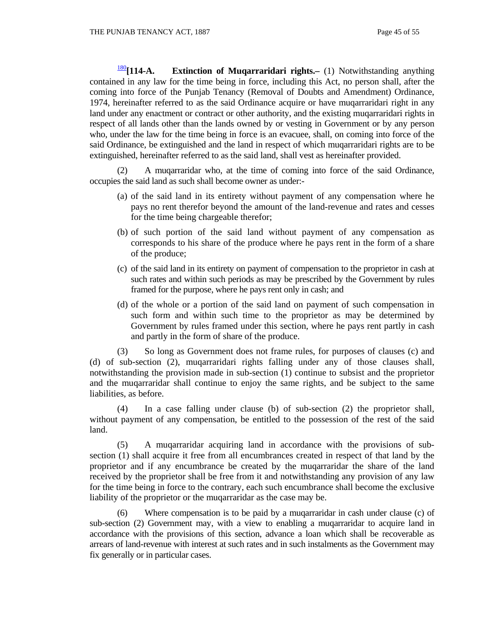<sup>180</sup>**[114-A. Extinction of Muqarraridari rights.–** (1) Notwithstanding anything contained in any law for the time being in force, including this Act, no person shall, after the coming into force of the Punjab Tenancy (Removal of Doubts and Amendment) Ordinance, 1974, hereinafter referred to as the said Ordinance acquire or have muqarraridari right in any land under any enactment or contract or other authority, and the existing muqarraridari rights in respect of all lands other than the lands owned by or vesting in Government or by any person who, under the law for the time being in force is an evacuee, shall, on coming into force of the said Ordinance, be extinguished and the land in respect of which muqarraridari rights are to be extinguished, hereinafter referred to as the said land, shall vest as hereinafter provided.

 (2) A muqarraridar who, at the time of coming into force of the said Ordinance, occupies the said land as such shall become owner as under:-

- (a) of the said land in its entirety without payment of any compensation where he pays no rent therefor beyond the amount of the land-revenue and rates and cesses for the time being chargeable therefor;
- (b) of such portion of the said land without payment of any compensation as corresponds to his share of the produce where he pays rent in the form of a share of the produce;
- (c) of the said land in its entirety on payment of compensation to the proprietor in cash at such rates and within such periods as may be prescribed by the Government by rules framed for the purpose, where he pays rent only in cash; and
- (d) of the whole or a portion of the said land on payment of such compensation in such form and within such time to the proprietor as may be determined by Government by rules framed under this section, where he pays rent partly in cash and partly in the form of share of the produce.

 (3) So long as Government does not frame rules, for purposes of clauses (c) and (d) of sub-section (2), muqarraridari rights falling under any of those clauses shall, notwithstanding the provision made in sub-section (1) continue to subsist and the proprietor and the muqarraridar shall continue to enjoy the same rights, and be subject to the same liabilities, as before.

 (4) In a case falling under clause (b) of sub-section (2) the proprietor shall, without payment of any compensation, be entitled to the possession of the rest of the said land.

 (5) A muqarraridar acquiring land in accordance with the provisions of subsection (1) shall acquire it free from all encumbrances created in respect of that land by the proprietor and if any encumbrance be created by the muqarraridar the share of the land received by the proprietor shall be free from it and notwithstanding any provision of any law for the time being in force to the contrary, each such encumbrance shall become the exclusive liability of the proprietor or the muqarraridar as the case may be.

 (6) Where compensation is to be paid by a muqarraridar in cash under clause (c) of sub-section (2) Government may, with a view to enabling a muqarraridar to acquire land in accordance with the provisions of this section, advance a loan which shall be recoverable as arrears of land-revenue with interest at such rates and in such instalments as the Government may fix generally or in particular cases.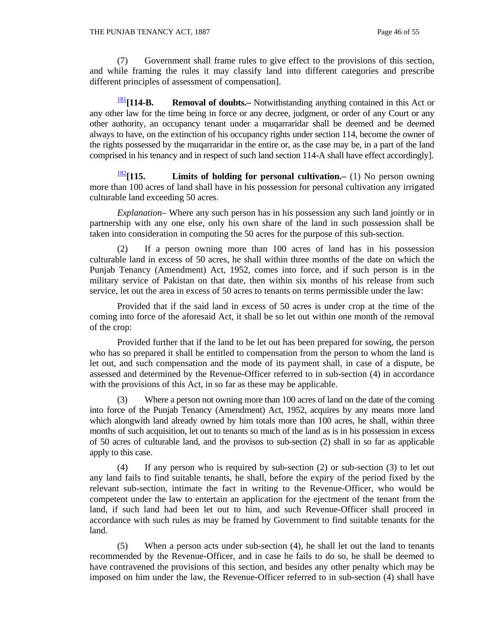(7) Government shall frame rules to give effect to the provisions of this section, and while framing the rules it may classify land into different categories and prescribe different principles of assessment of compensation].

<sup>181</sup>**[114-B. Removal of doubts.–** Notwithstanding anything contained in this Act or any other law for the time being in force or any decree, judgment, or order of any Court or any other authority, an occupancy tenant under a muqarraridar shall be deemed and be deemed always to have, on the extinction of his occupancy rights under section 114, become the owner of the rights possessed by the muqarraridar in the entire or, as the case may be, in a part of the land comprised in his tenancy and in respect of such land section 114-A shall have effect accordingly].

<sup>182</sup>**[115. Limits of holding for personal cultivation.–** (1) No person owning more than 100 acres of land shall have in his possession for personal cultivation any irrigated culturable land exceeding 50 acres.

 *Explanation*– Where any such person has in his possession any such land jointly or in partnership with any one else, only his own share of the land in such possession shall be taken into consideration in computing the 50 acres for the purpose of this sub-section.

 (2) If a person owning more than 100 acres of land has in his possession culturable land in excess of 50 acres, he shall within three months of the date on which the Punjab Tenancy (Amendment) Act, 1952, comes into force, and if such person is in the military service of Pakistan on that date, then within six months of his release from such service, let out the area in excess of 50 acres to tenants on terms permissible under the law:

 Provided that if the said land in excess of 50 acres is under crop at the time of the coming into force of the aforesaid Act, it shall be so let out within one month of the removal of the crop:

 Provided further that if the land to be let out has been prepared for sowing, the person who has so prepared it shall be entitled to compensation from the person to whom the land is let out, and such compensation and the mode of its payment shall, in case of a dispute, be assessed and determined by the Revenue-Officer referred to in sub-section (4) in accordance with the provisions of this Act, in so far as these may be applicable.

 (3) Where a person not owning more than 100 acres of land on the date of the coming into force of the Punjab Tenancy (Amendment) Act, 1952, acquires by any means more land which alongwith land already owned by him totals more than 100 acres, he shall, within three months of such acquisition, let out to tenants so much of the land as is in his possession in excess of 50 acres of culturable land, and the provisos to sub-section (2) shall in so far as applicable apply to this case.

 (4) If any person who is required by sub-section (2) or sub-section (3) to let out any land fails to find suitable tenants, he shall, before the expiry of the period fixed by the relevant sub-section, intimate the fact in writing to the Revenue-Officer, who would be competent under the law to entertain an application for the ejectment of the tenant from the land, if such land had been let out to him, and such Revenue-Officer shall proceed in accordance with such rules as may be framed by Government to find suitable tenants for the land.

 (5) When a person acts under sub-section (4), he shall let out the land to tenants recommended by the Revenue-Officer, and in case he fails to do so, he shall be deemed to have contravened the provisions of this section, and besides any other penalty which may be imposed on him under the law, the Revenue-Officer referred to in sub-section (4) shall have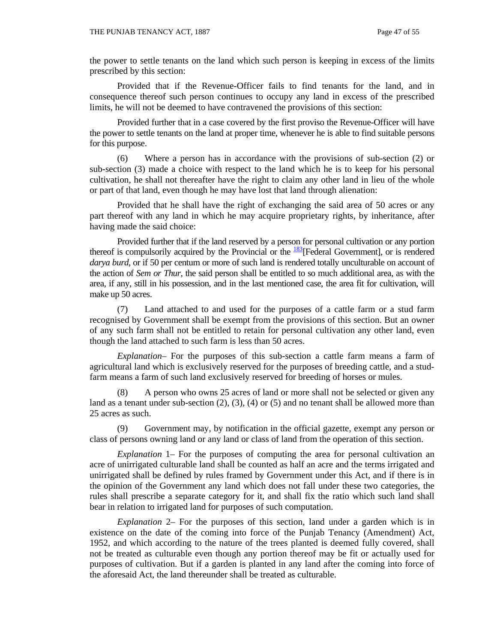the power to settle tenants on the land which such person is keeping in excess of the limits prescribed by this section:

 Provided that if the Revenue-Officer fails to find tenants for the land, and in consequence thereof such person continues to occupy any land in excess of the prescribed limits, he will not be deemed to have contravened the provisions of this section:

 Provided further that in a case covered by the first proviso the Revenue-Officer will have the power to settle tenants on the land at proper time, whenever he is able to find suitable persons for this purpose.

 (6) Where a person has in accordance with the provisions of sub-section (2) or sub-section (3) made a choice with respect to the land which he is to keep for his personal cultivation, he shall not thereafter have the right to claim any other land in lieu of the whole or part of that land, even though he may have lost that land through alienation:

 Provided that he shall have the right of exchanging the said area of 50 acres or any part thereof with any land in which he may acquire proprietary rights, by inheritance, after having made the said choice:

 Provided further that if the land reserved by a person for personal cultivation or any portion thereof is compulsorily acquired by the Provincial or the  $\frac{183}{182}$ [Federal Government], or is rendered *darya burd*, or if 50 per centum or more of such land is rendered totally unculturable on account of the action of *Sem or Thur,* the said person shall be entitled to so much additional area, as with the area, if any, still in his possession, and in the last mentioned case, the area fit for cultivation, will make up 50 acres.

 (7) Land attached to and used for the purposes of a cattle farm or a stud farm recognised by Government shall be exempt from the provisions of this section. But an owner of any such farm shall not be entitled to retain for personal cultivation any other land, even though the land attached to such farm is less than 50 acres.

 *Explanation–* For the purposes of this sub-section a cattle farm means a farm of agricultural land which is exclusively reserved for the purposes of breeding cattle, and a studfarm means a farm of such land exclusively reserved for breeding of horses or mules.

A person who owns 25 acres of land or more shall not be selected or given any land as a tenant under sub-section  $(2)$ ,  $(3)$ ,  $(4)$  or  $(5)$  and no tenant shall be allowed more than 25 acres as such.

 (9) Government may, by notification in the official gazette, exempt any person or class of persons owning land or any land or class of land from the operation of this section.

 *Explanation* 1– For the purposes of computing the area for personal cultivation an acre of unirrigated culturable land shall be counted as half an acre and the terms irrigated and unirrigated shall be defined by rules framed by Government under this Act, and if there is in the opinion of the Government any land which does not fall under these two categories, the rules shall prescribe a separate category for it, and shall fix the ratio which such land shall bear in relation to irrigated land for purposes of such computation.

 *Explanation* 2– For the purposes of this section, land under a garden which is in existence on the date of the coming into force of the Punjab Tenancy (Amendment) Act, 1952, and which according to the nature of the trees planted is deemed fully covered, shall not be treated as culturable even though any portion thereof may be fit or actually used for purposes of cultivation. But if a garden is planted in any land after the coming into force of the aforesaid Act, the land thereunder shall be treated as culturable.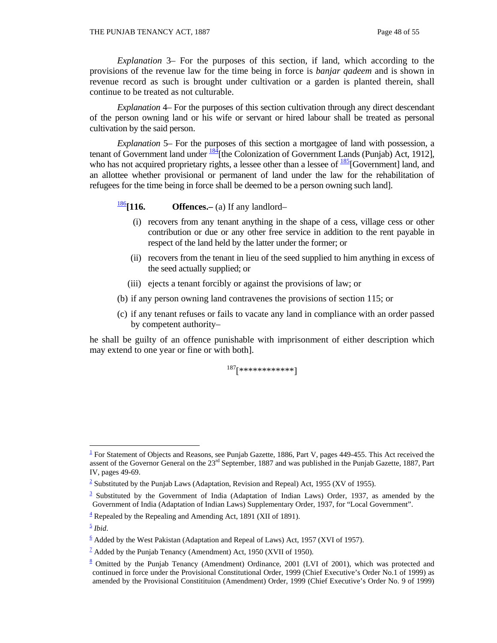*Explanation* 3– For the purposes of this section, if land, which according to the provisions of the revenue law for the time being in force is *banjar qadeem* and is shown in revenue record as such is brought under cultivation or a garden is planted therein, shall continue to be treated as not culturable.

 *Explanation* 4– For the purposes of this section cultivation through any direct descendant of the person owning land or his wife or servant or hired labour shall be treated as personal cultivation by the said person.

 *Explanation* 5– For the purposes of this section a mortgagee of land with possession, a tenant of Government land under  $\frac{184}{184}$  [the Colonization of Government Lands (Punjab) Act, 1912], who has not acquired proprietary rights, a lessee other than a lessee of  $\frac{185}{15}$ [Government] land, and an allottee whether provisional or permanent of land under the law for the rehabilitation of refugees for the time being in force shall be deemed to be a person owning such land].

<sup>186</sup>**[116. Offences.–** (a) If any landlord–

- (i) recovers from any tenant anything in the shape of a cess, village cess or other contribution or due or any other free service in addition to the rent payable in respect of the land held by the latter under the former; or
- (ii) recovers from the tenant in lieu of the seed supplied to him anything in excess of the seed actually supplied; or
- (iii) ejects a tenant forcibly or against the provisions of law; or
- (b) if any person owning land contravenes the provisions of section 115; or
- (c) if any tenant refuses or fails to vacate any land in compliance with an order passed by competent authority–

he shall be guilty of an offence punishable with imprisonment of either description which may extend to one year or fine or with both].

 $187$ [\*\*\*\*\*\*\*\*\*\*\*\*]

 $\overline{a}$ 

 $1$  For Statement of Objects and Reasons, see Punjab Gazette, 1886, Part V, pages 449-455. This Act received the assent of the Governor General on the 23<sup>rd</sup> September, 1887 and was published in the Punjab Gazette, 1887, Part IV, pages 49-69.

<sup>&</sup>lt;sup>2</sup> Substituted by the Punjab Laws (Adaptation, Revision and Repeal) Act, 1955 (XV of 1955).

 $\frac{3}{2}$  Substituted by the Government of India (Adaptation of Indian Laws) Order, 1937, as amended by the Government of India (Adaptation of Indian Laws) Supplementary Order, 1937, for "Local Government".

 $4$  Repealed by the Repealing and Amending Act, 1891 (XII of 1891).

<sup>5</sup> *Ibid*.

 $6$  Added by the West Pakistan (Adaptation and Repeal of Laws) Act, 1957 (XVI of 1957).

 $\frac{7}{2}$  Added by the Punjab Tenancy (Amendment) Act, 1950 (XVII of 1950).

<sup>&</sup>lt;sup>8</sup> Omitted by the Punjab Tenancy (Amendment) Ordinance, 2001 (LVI of 2001), which was protected and continued in force under the Provisional Constitutional Order, 1999 (Chief Executive's Order No.1 of 1999) as amended by the Provisional Constitituion (Amendment) Order, 1999 (Chief Executive's Order No. 9 of 1999)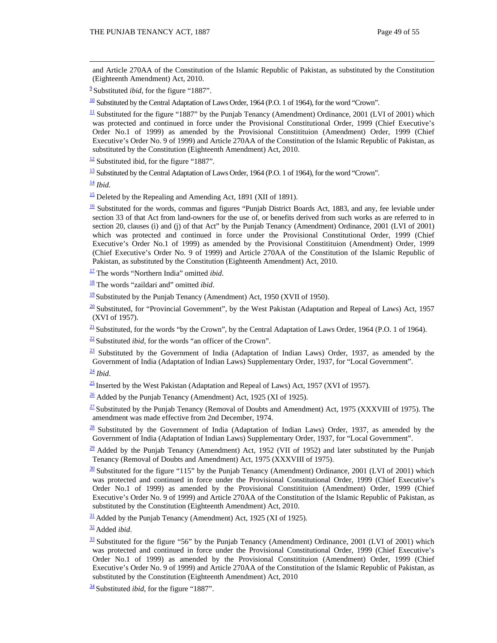and Article 270AA of the Constitution of the Islamic Republic of Pakistan, as substituted by the Constitution (Eighteenth Amendment) Act, 2010.

<sup>2</sup> Substituted *ibid*, for the figure "1887".

 $\frac{10}{10}$  Substituted by the Central Adaptation of Laws Order, 1964 (P.O. 1 of 1964), for the word "Crown".

 $\frac{11}{11}$  Substituted for the figure "1887" by the Punjab Tenancy (Amendment) Ordinance, 2001 (LVI of 2001) which was protected and continued in force under the Provisional Constitutional Order, 1999 (Chief Executive's Order No.1 of 1999) as amended by the Provisional Constitituion (Amendment) Order, 1999 (Chief Executive's Order No. 9 of 1999) and Article 270AA of the Constitution of the Islamic Republic of Pakistan, as substituted by the Constitution (Eighteenth Amendment) Act, 2010.

 $\frac{12}{2}$  Substituted ibid, for the figure "1887".

 $13$  Substituted by the Central Adaptation of Laws Order, 1964 (P.O. 1 of 1964), for the word "Crown".

 $\frac{14}{16}$ *Ibid.* 

 $\frac{15}{2}$  Deleted by the Repealing and Amending Act, 1891 (XII of 1891).

 $\frac{16}{16}$  Substituted for the words, commas and figures "Punjab District Boards Act, 1883, and any, fee leviable under section 33 of that Act from land-owners for the use of, or benefits derived from such works as are referred to in section 20, clauses (i) and (j) of that Act" by the Punjab Tenancy (Amendment) Ordinance, 2001 (LVI of 2001) which was protected and continued in force under the Provisional Constitutional Order, 1999 (Chief Executive's Order No.1 of 1999) as amended by the Provisional Constitituion (Amendment) Order, 1999 (Chief Executive's Order No. 9 of 1999) and Article 270AA of the Constitution of the Islamic Republic of Pakistan, as substituted by the Constitution (Eighteenth Amendment) Act, 2010.

17 The words "Northern India" omitted *ibid*.

18 The words "zaildari and" omitted *ibid*.

 $\frac{19}{2}$  Substituted by the Punjab Tenancy (Amendment) Act, 1950 (XVII of 1950).

 $\frac{20}{20}$  Substituted, for "Provincial Government", by the West Pakistan (Adaptation and Repeal of Laws) Act, 1957 (XVI of 1957).

 $\frac{21}{21}$  Substituted, for the words "by the Crown", by the Central Adaptation of Laws Order, 1964 (P.O. 1 of 1964).

 $\frac{22}{2}$  Substituted *ibid*, for the words "an officer of the Crown".

 $\frac{23}{23}$  Substituted by the Government of India (Adaptation of Indian Laws) Order, 1937, as amended by the Government of India (Adaptation of Indian Laws) Supplementary Order, 1937, for "Local Government".

 $\frac{24}{3}$  *Ibid.* 

 $\frac{25}{25}$  Inserted by the West Pakistan (Adaptation and Repeal of Laws) Act, 1957 (XVI of 1957).

 $\frac{26}{1}$  Added by the Punjab Tenancy (Amendment) Act, 1925 (XI of 1925).

 $\frac{27}{27}$  Substituted by the Punjab Tenancy (Removal of Doubts and Amendment) Act, 1975 (XXXVIII of 1975). The amendment was made effective from 2nd December, 1974.

 $28$  Substituted by the Government of India (Adaptation of Indian Laws) Order, 1937, as amended by the Government of India (Adaptation of Indian Laws) Supplementary Order, 1937, for "Local Government".

 $\frac{29}{29}$  Added by the Punjab Tenancy (Amendment) Act, 1952 (VII of 1952) and later substituted by the Punjab Tenancy (Removal of Doubts and Amendment) Act, 1975 (XXXVIII of 1975).

 $\frac{30}{10}$  Substituted for the figure "115" by the Punjab Tenancy (Amendment) Ordinance, 2001 (LVI of 2001) which was protected and continued in force under the Provisional Constitutional Order, 1999 (Chief Executive's Order No.1 of 1999) as amended by the Provisional Constitituion (Amendment) Order, 1999 (Chief Executive's Order No. 9 of 1999) and Article 270AA of the Constitution of the Islamic Republic of Pakistan, as substituted by the Constitution (Eighteenth Amendment) Act, 2010.

 $\frac{31}{2}$  Added by the Punjab Tenancy (Amendment) Act, 1925 (XI of 1925).

<sup>32</sup> Added *ibid*.

<sup>34</sup> Substituted *ibid*, for the figure "1887".

 $\frac{33}{25}$  Substituted for the figure "56" by the Punjab Tenancy (Amendment) Ordinance, 2001 (LVI of 2001) which was protected and continued in force under the Provisional Constitutional Order, 1999 (Chief Executive's Order No.1 of 1999) as amended by the Provisional Constitituion (Amendment) Order, 1999 (Chief Executive's Order No. 9 of 1999) and Article 270AA of the Constitution of the Islamic Republic of Pakistan, as substituted by the Constitution (Eighteenth Amendment) Act, 2010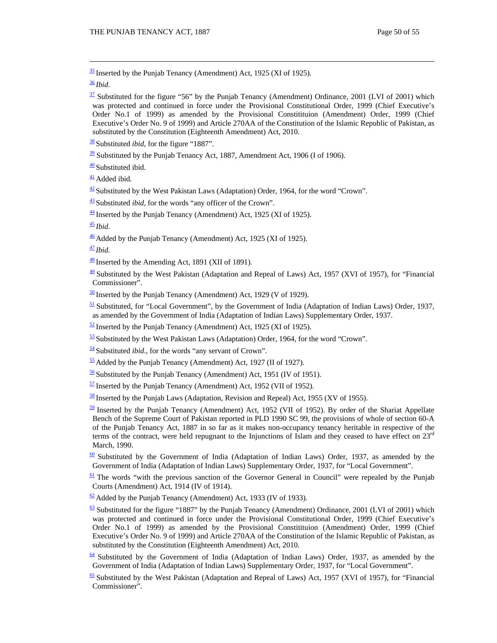$\frac{35}{25}$  Inserted by the Punjab Tenancy (Amendment) Act, 1925 (XI of 1925).

<sup>36</sup> *Ibid*.

<sup>38</sup> Substituted *ibid*, for the figure "1887".

 $\frac{39}{2}$  Substituted by the Punjab Tenancy Act, 1887, Amendment Act, 1906 (I of 1906).

 $\frac{40}{2}$  Substituted ibid.

<sup>41</sup> Added ibid*.*

 $\frac{42}{2}$  Substituted by the West Pakistan Laws (Adaptation) Order, 1964, for the word "Crown".

<sup>43</sup> Substituted *ibid*, for the words "any officer of the Crown".

 $\frac{44}{1}$  Inserted by the Punjab Tenancy (Amendment) Act, 1925 (XI of 1925).

 $\frac{45}{3}$ *Ibid.* 

 $\frac{46}{10}$  Added by the Punjab Tenancy (Amendment) Act, 1925 (XI of 1925).

 $\frac{47}{2}$ *Ibid.* 

 $\frac{48}{18}$  Inserted by the Amending Act, 1891 (XII of 1891).

 $\frac{49}{2}$  Substituted by the West Pakistan (Adaptation and Repeal of Laws) Act, 1957 (XVI of 1957), for "Financial Commissioner".

 $\frac{50}{2}$  Inserted by the Punjab Tenancy (Amendment) Act, 1929 (V of 1929).

 $\frac{51}{2}$  Substituted, for "Local Government", by the Government of India (Adaptation of Indian Laws) Order, 1937, as amended by the Government of India (Adaptation of Indian Laws) Supplementary Order, 1937.

 $\frac{52}{2}$  Inserted by the Punjab Tenancy (Amendment) Act, 1925 (XI of 1925).

 $53$  Substituted by the West Pakistan Laws (Adaptation) Order, 1964, for the word "Crown".

<sup>54</sup> Substituted *ibid*., for the words "any servant of Crown".

 $\frac{55}{2}$  Added by the Punjab Tenancy (Amendment) Act, 1927 (II of 1927).

 $\frac{56}{2}$  Substituted by the Punjab Tenancy (Amendment) Act, 1951 (IV of 1951).

 $\frac{57}{2}$  Inserted by the Punjab Tenancy (Amendment) Act, 1952 (VII of 1952).

 $\frac{58}{2}$  Inserted by the Punjab Laws (Adaptation, Revision and Repeal) Act, 1955 (XV of 1955).

 $\frac{59}{2}$  Inserted by the Punjab Tenancy (Amendment) Act, 1952 (VII of 1952). By order of the Shariat Appellate Bench of the Supreme Court of Pakistan reported in PLD 1990 SC 99, the provisions of whole of section 60-A of the Punjab Tenancy Act, 1887 in so far as it makes non-occupancy tenancy heritable in respective of the terms of the contract, were held repugnant to the Injunctions of Islam and they ceased to have effect on 23rd March, 1990.

 $60$  Substituted by the Government of India (Adaptation of Indian Laws) Order, 1937, as amended by the Government of India (Adaptation of Indian Laws) Supplementary Order, 1937, for "Local Government".

 $\frac{61}{1}$  The words "with the previous sanction of the Governor General in Council" were repealed by the Punjab Courts (Amendment) Act, 1914 (IV of 1914).

 $\frac{62}{2}$  Added by the Punjab Tenancy (Amendment) Act, 1933 (IV of 1933).

 $63$  Substituted for the figure "1887" by the Punjab Tenancy (Amendment) Ordinance, 2001 (LVI of 2001) which was protected and continued in force under the Provisional Constitutional Order, 1999 (Chief Executive's Order No.1 of 1999) as amended by the Provisional Constitituion (Amendment) Order, 1999 (Chief Executive's Order No. 9 of 1999) and Article 270AA of the Constitution of the Islamic Republic of Pakistan, as substituted by the Constitution (Eighteenth Amendment) Act, 2010.

 $64$  Substituted by the Government of India (Adaptation of Indian Laws) Order, 1937, as amended by the Government of India (Adaptation of Indian Laws) Supplementary Order, 1937, for "Local Government".

 $65$  Substituted by the West Pakistan (Adaptation and Repeal of Laws) Act, 1957 (XVI of 1957), for "Financial Commissioner".

 $\frac{37}{2}$  Substituted for the figure "56" by the Punjab Tenancy (Amendment) Ordinance, 2001 (LVI of 2001) which was protected and continued in force under the Provisional Constitutional Order, 1999 (Chief Executive's Order No.1 of 1999) as amended by the Provisional Constitituion (Amendment) Order, 1999 (Chief Executive's Order No. 9 of 1999) and Article 270AA of the Constitution of the Islamic Republic of Pakistan, as substituted by the Constitution (Eighteenth Amendment) Act, 2010.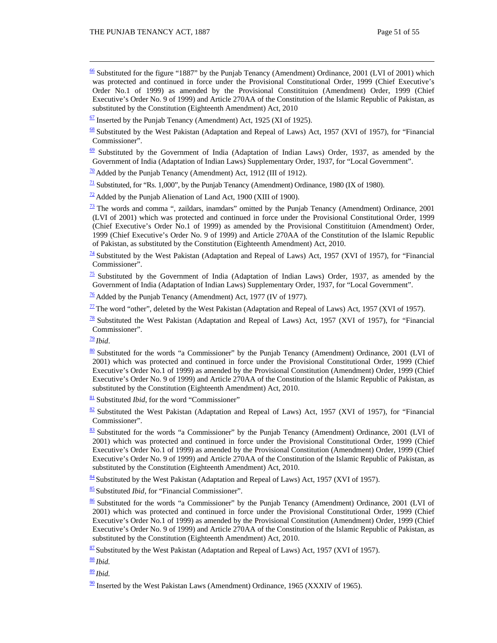$\frac{66}{2}$  Substituted for the figure "1887" by the Punjab Tenancy (Amendment) Ordinance, 2001 (LVI of 2001) which was protected and continued in force under the Provisional Constitutional Order, 1999 (Chief Executive's Order No.1 of 1999) as amended by the Provisional Constitituion (Amendment) Order, 1999 (Chief Executive's Order No. 9 of 1999) and Article 270AA of the Constitution of the Islamic Republic of Pakistan, as substituted by the Constitution (Eighteenth Amendment) Act, 2010

 $\frac{67}{2}$  Inserted by the Punjab Tenancy (Amendment) Act, 1925 (XI of 1925).

 $69$  Substituted by the Government of India (Adaptation of Indian Laws) Order, 1937, as amended by the Government of India (Adaptation of Indian Laws) Supplementary Order, 1937, for "Local Government".

 $\frac{70}{20}$  Added by the Punjab Tenancy (Amendment) Act, 1912 (III of 1912).

 $\frac{71}{1}$  Substituted, for "Rs. 1,000", by the Punjab Tenancy (Amendment) Ordinance, 1980 (IX of 1980).

 $\frac{72}{2}$  Added by the Punjab Alienation of Land Act, 1900 (XIII of 1900).

 $\frac{73}{12}$  The words and comma ", zaildars, inamdars" omitted by the Punjab Tenancy (Amendment) Ordinance, 2001 (LVI of 2001) which was protected and continued in force under the Provisional Constitutional Order, 1999 (Chief Executive's Order No.1 of 1999) as amended by the Provisional Constitituion (Amendment) Order, 1999 (Chief Executive's Order No. 9 of 1999) and Article 270AA of the Constitution of the Islamic Republic of Pakistan, as substituted by the Constitution (Eighteenth Amendment) Act, 2010.

 $\frac{74}{4}$  Substituted by the West Pakistan (Adaptation and Repeal of Laws) Act, 1957 (XVI of 1957), for "Financial Commissioner".

 $\frac{75}{25}$  Substituted by the Government of India (Adaptation of Indian Laws) Order, 1937, as amended by the Government of India (Adaptation of Indian Laws) Supplementary Order, 1937, for "Local Government".

 $\frac{76}{6}$  Added by the Punjab Tenancy (Amendment) Act, 1977 (IV of 1977).

 $\overline{^{77}}$  The word "other", deleted by the West Pakistan (Adaptation and Repeal of Laws) Act, 1957 (XVI of 1957).

 $\frac{78}{8}$  Substituted the West Pakistan (Adaptation and Repeal of Laws) Act, 1957 (XVI of 1957), for "Financial Commissioner".

 $\frac{79}{2}$ *Ibid.* 

81 Substituted *Ibid*, for the word "Commissioner"

 $\frac{82}{1}$  Substituted the West Pakistan (Adaptation and Repeal of Laws) Act, 1957 (XVI of 1957), for "Financial Commissioner".

 $\frac{83}{2}$  Substituted for the words "a Commissioner" by the Punjab Tenancy (Amendment) Ordinance, 2001 (LVI of 2001) which was protected and continued in force under the Provisional Constitutional Order, 1999 (Chief Executive's Order No.1 of 1999) as amended by the Provisional Constitution (Amendment) Order, 1999 (Chief Executive's Order No. 9 of 1999) and Article 270AA of the Constitution of the Islamic Republic of Pakistan, as substituted by the Constitution (Eighteenth Amendment) Act, 2010.

84 Substituted by the West Pakistan (Adaptation and Repeal of Laws) Act, 1957 (XVI of 1957).

<sup>85</sup> Substituted *Ibid*, for "Financial Commissioner".

86 Substituted for the words "a Commissioner" by the Punjab Tenancy (Amendment) Ordinance, 2001 (LVI of 2001) which was protected and continued in force under the Provisional Constitutional Order, 1999 (Chief Executive's Order No.1 of 1999) as amended by the Provisional Constitution (Amendment) Order, 1999 (Chief Executive's Order No. 9 of 1999) and Article 270AA of the Constitution of the Islamic Republic of Pakistan, as substituted by the Constitution (Eighteenth Amendment) Act, 2010.

 $87$  Substituted by the West Pakistan (Adaptation and Repeal of Laws) Act, 1957 (XVI of 1957).

<sup>88</sup> *Ibid.*

<sup>89</sup> *Ibid.*

 $\frac{90}{20}$  Inserted by the West Pakistan Laws (Amendment) Ordinance, 1965 (XXXIV of 1965).

 $68$  Substituted by the West Pakistan (Adaptation and Repeal of Laws) Act, 1957 (XVI of 1957), for "Financial Commissioner".

 $\frac{80}{2}$  Substituted for the words "a Commissioner" by the Punjab Tenancy (Amendment) Ordinance, 2001 (LVI of 2001) which was protected and continued in force under the Provisional Constitutional Order, 1999 (Chief Executive's Order No.1 of 1999) as amended by the Provisional Constitution (Amendment) Order, 1999 (Chief Executive's Order No. 9 of 1999) and Article 270AA of the Constitution of the Islamic Republic of Pakistan, as substituted by the Constitution (Eighteenth Amendment) Act, 2010.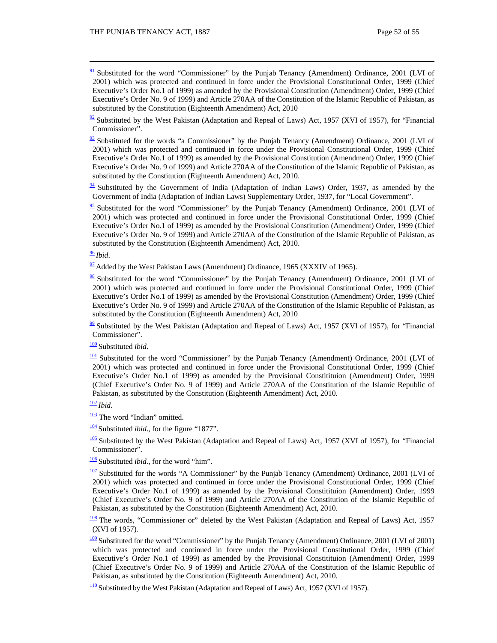- $\frac{91}{2}$  Substituted for the word "Commissioner" by the Punjab Tenancy (Amendment) Ordinance, 2001 (LVI of 2001) which was protected and continued in force under the Provisional Constitutional Order, 1999 (Chief Executive's Order No.1 of 1999) as amended by the Provisional Constitution (Amendment) Order, 1999 (Chief Executive's Order No. 9 of 1999) and Article 270AA of the Constitution of the Islamic Republic of Pakistan, as substituted by the Constitution (Eighteenth Amendment) Act, 2010
- $\frac{92}{2}$  Substituted by the West Pakistan (Adaptation and Repeal of Laws) Act, 1957 (XVI of 1957), for "Financial Commissioner".
- $\frac{93}{2}$  Substituted for the words "a Commissioner" by the Punjab Tenancy (Amendment) Ordinance, 2001 (LVI of 2001) which was protected and continued in force under the Provisional Constitutional Order, 1999 (Chief Executive's Order No.1 of 1999) as amended by the Provisional Constitution (Amendment) Order, 1999 (Chief Executive's Order No. 9 of 1999) and Article 270AA of the Constitution of the Islamic Republic of Pakistan, as substituted by the Constitution (Eighteenth Amendment) Act, 2010.
- $94$  Substituted by the Government of India (Adaptation of Indian Laws) Order, 1937, as amended by the Government of India (Adaptation of Indian Laws) Supplementary Order, 1937, for "Local Government".
- $\frac{95}{2}$  Substituted for the word "Commissioner" by the Punjab Tenancy (Amendment) Ordinance, 2001 (LVI of 2001) which was protected and continued in force under the Provisional Constitutional Order, 1999 (Chief Executive's Order No.1 of 1999) as amended by the Provisional Constitution (Amendment) Order, 1999 (Chief Executive's Order No. 9 of 1999) and Article 270AA of the Constitution of the Islamic Republic of Pakistan, as substituted by the Constitution (Eighteenth Amendment) Act, 2010.

<sup>96</sup> *Ibid*.

- $\frac{97}{97}$  Added by the West Pakistan Laws (Amendment) Ordinance, 1965 (XXXIV of 1965).
- 98 Substituted for the word "Commissioner" by the Punjab Tenancy (Amendment) Ordinance, 2001 (LVI of 2001) which was protected and continued in force under the Provisional Constitutional Order, 1999 (Chief Executive's Order No.1 of 1999) as amended by the Provisional Constitution (Amendment) Order, 1999 (Chief Executive's Order No. 9 of 1999) and Article 270AA of the Constitution of the Islamic Republic of Pakistan, as substituted by the Constitution (Eighteenth Amendment) Act, 2010
- $\frac{99}{2}$  Substituted by the West Pakistan (Adaptation and Repeal of Laws) Act, 1957 (XVI of 1957), for "Financial Commissioner".

<sup>100</sup> Substituted *ibid*.

<sup>101</sup> Substituted for the word "Commissioner" by the Punjab Tenancy (Amendment) Ordinance, 2001 (LVI of 2001) which was protected and continued in force under the Provisional Constitutional Order, 1999 (Chief Executive's Order No.1 of 1999) as amended by the Provisional Constitituion (Amendment) Order, 1999 (Chief Executive's Order No. 9 of 1999) and Article 270AA of the Constitution of the Islamic Republic of Pakistan, as substituted by the Constitution (Eighteenth Amendment) Act, 2010.

<sup>102</sup> *Ibid*.

- $\frac{103}{100}$  The word "Indian" omitted.
- <sup>104</sup> Substituted *ibid*., for the figure "1877".
- <sup>105</sup> Substituted by the West Pakistan (Adaptation and Repeal of Laws) Act, 1957 (XVI of 1957), for "Financial Commissioner".
- <sup>106</sup> Substituted *ibid.,* for the word "him".
- 107 Substituted for the words "A Commissioner" by the Punjab Tenancy (Amendment) Ordinance, 2001 (LVI of 2001) which was protected and continued in force under the Provisional Constitutional Order, 1999 (Chief Executive's Order No.1 of 1999) as amended by the Provisional Constitituion (Amendment) Order, 1999 (Chief Executive's Order No. 9 of 1999) and Article 270AA of the Constitution of the Islamic Republic of Pakistan, as substituted by the Constitution (Eighteenth Amendment) Act, 2010.
- 108 The words, "Commissioner or" deleted by the West Pakistan (Adaptation and Repeal of Laws) Act, 1957 (XVI of 1957)*.*
- <sup>109</sup> Substituted for the word "Commissioner" by the Punjab Tenancy (Amendment) Ordinance, 2001 (LVI of 2001) which was protected and continued in force under the Provisional Constitutional Order, 1999 (Chief Executive's Order No.1 of 1999) as amended by the Provisional Constitituion (Amendment) Order, 1999 (Chief Executive's Order No. 9 of 1999) and Article 270AA of the Constitution of the Islamic Republic of Pakistan, as substituted by the Constitution (Eighteenth Amendment) Act, 2010.
- <sup>110</sup> Substituted by the West Pakistan (Adaptation and Repeal of Laws) Act, 1957 (XVI of 1957)*.*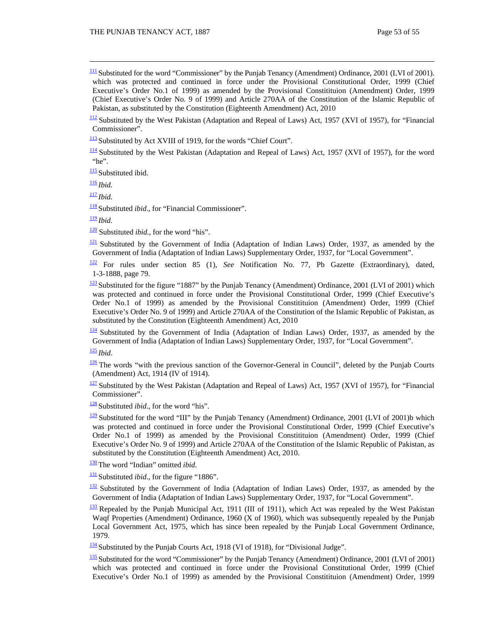$\frac{111}{2}$  Substituted for the word "Commissioner" by the Punjab Tenancy (Amendment) Ordinance, 2001 (LVI of 2001). which was protected and continued in force under the Provisional Constitutional Order, 1999 (Chief Executive's Order No.1 of 1999) as amended by the Provisional Constitituion (Amendment) Order, 1999 (Chief Executive's Order No. 9 of 1999) and Article 270AA of the Constitution of the Islamic Republic of Pakistan, as substituted by the Constitution (Eighteenth Amendment) Act, 2010

 $\frac{112}{2}$  Substituted by the West Pakistan (Adaptation and Repeal of Laws) Act, 1957 (XVI of 1957), for "Financial Commissioner".

113 Substituted by Act XVIII of 1919, for the words "Chief Court".

<sup>114</sup> Substituted by the West Pakistan (Adaptation and Repeal of Laws) Act, 1957 (XVI of 1957), for the word "he".

115 Substituted ibid.

<sup>116</sup> *Ibid.*

<sup>117</sup> *Ibid.*

<sup>118</sup> Substituted *ibid*., for "Financial Commissioner".

<sup>119</sup> *Ibid.*

120 Substituted *ibid.,* for the word "his".

 $\frac{121}{2}$  Substituted by the Government of India (Adaptation of Indian Laws) Order, 1937, as amended by the Government of India (Adaptation of Indian Laws) Supplementary Order, 1937, for "Local Government".

122 For rules under section 85 (1), *See* Notification No. 77, Pb Gazette (Extraordinary), dated, 1-3-1888, page 79.

 $\frac{123}{2}$  Substituted for the figure "1887" by the Punjab Tenancy (Amendment) Ordinance, 2001 (LVI of 2001) which was protected and continued in force under the Provisional Constitutional Order, 1999 (Chief Executive's Order No.1 of 1999) as amended by the Provisional Constitituion (Amendment) Order, 1999 (Chief Executive's Order No. 9 of 1999) and Article 270AA of the Constitution of the Islamic Republic of Pakistan, as substituted by the Constitution (Eighteenth Amendment) Act, 2010

<sup>124</sup> Substituted by the Government of India (Adaptation of Indian Laws) Order, 1937, as amended by the Government of India (Adaptation of Indian Laws) Supplementary Order, 1937, for "Local Government".

<sup>125</sup> *Ibid*.

 $\frac{126}{126}$  The words "with the previous sanction of the Governor-General in Council", deleted by the Punjab Courts (Amendment) Act, 1914 (IV of 1914).

 $\frac{127}{2}$  Substituted by the West Pakistan (Adaptation and Repeal of Laws) Act, 1957 (XVI of 1957), for "Financial Commissioner".

<sup>128</sup> Substituted *ibid*., for the word "his".

 $\frac{129}{2}$  Substituted for the word "III" by the Punjab Tenancy (Amendment) Ordinance, 2001 (LVI of 2001)b which was protected and continued in force under the Provisional Constitutional Order, 1999 (Chief Executive's Order No.1 of 1999) as amended by the Provisional Constitituion (Amendment) Order, 1999 (Chief Executive's Order No. 9 of 1999) and Article 270AA of the Constitution of the Islamic Republic of Pakistan, as substituted by the Constitution (Eighteenth Amendment) Act, 2010.

<sup>130</sup> The word "Indian" omitted *ibid*.

 $\frac{131}{131}$  Substituted *ibid*., for the figure "1886".

<sup>132</sup> Substituted by the Government of India (Adaptation of Indian Laws) Order, 1937, as amended by the Government of India (Adaptation of Indian Laws) Supplementary Order, 1937, for "Local Government".

 $\frac{133}{132}$  Repealed by the Punjab Municipal Act, 1911 (III of 1911), which Act was repealed by the West Pakistan Waqf Properties (Amendment) Ordinance, 1960 (X of 1960), which was subsequently repealed by the Punjab Local Government Act, 1975, which has since been repealed by the Punjab Local Government Ordinance, 1979.

 $\frac{134}{134}$  Substituted by the Punjab Courts Act, 1918 (VI of 1918), for "Divisional Judge".

 $\frac{135}{2}$  Substituted for the word "Commissioner" by the Punjab Tenancy (Amendment) Ordinance, 2001 (LVI of 2001) which was protected and continued in force under the Provisional Constitutional Order, 1999 (Chief Executive's Order No.1 of 1999) as amended by the Provisional Constitituion (Amendment) Order, 1999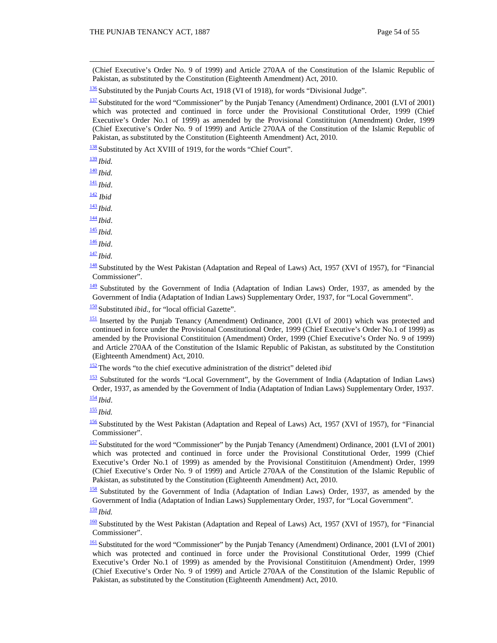(Chief Executive's Order No. 9 of 1999) and Article 270AA of the Constitution of the Islamic Republic of Pakistan, as substituted by the Constitution (Eighteenth Amendment) Act, 2010.

<sup>136</sup> Substituted by the Punjab Courts Act, 1918 (VI of 1918), for words "Divisional Judge"*.*

 $\frac{137}{2}$  Substituted for the word "Commissioner" by the Punjab Tenancy (Amendment) Ordinance, 2001 (LVI of 2001) which was protected and continued in force under the Provisional Constitutional Order, 1999 (Chief Executive's Order No.1 of 1999) as amended by the Provisional Constitituion (Amendment) Order, 1999 (Chief Executive's Order No. 9 of 1999) and Article 270AA of the Constitution of the Islamic Republic of Pakistan, as substituted by the Constitution (Eighteenth Amendment) Act, 2010.

138 Substituted by Act XVIII of 1919, for the words "Chief Court".

<sup>139</sup> *Ibid.*

<sup>140</sup> *Ibid.*

<sup>141</sup> *Ibid*.

<sup>142</sup> *Ibid*

<sup>143</sup> *Ibid.*

<sup>144</sup> *Ibid*.

<sup>145</sup> *Ibid.*

<sup>146</sup> *Ibid*.

<sup>147</sup> *Ibid.*

<sup>148</sup> Substituted by the West Pakistan (Adaptation and Repeal of Laws) Act, 1957 (XVI of 1957), for "Financial Commissioner".

 $\frac{149}{142}$  Substituted by the Government of India (Adaptation of Indian Laws) Order, 1937, as amended by the Government of India (Adaptation of Indian Laws) Supplementary Order, 1937, for "Local Government".

<sup>150</sup> Substituted *ibid.,* for "local official Gazette".

<sup>151</sup> Inserted by the Punjab Tenancy (Amendment) Ordinance, 2001 (LVI of 2001) which was protected and continued in force under the Provisional Constitutional Order, 1999 (Chief Executive's Order No.1 of 1999) as amended by the Provisional Constitituion (Amendment) Order, 1999 (Chief Executive's Order No. 9 of 1999) and Article 270AA of the Constitution of the Islamic Republic of Pakistan, as substituted by the Constitution (Eighteenth Amendment) Act, 2010.

<sup>152</sup> The words "to the chief executive administration of the district" deleted *ibid*

153 Substituted for the words "Local Government", by the Government of India (Adaptation of Indian Laws) Order, 1937, as amended by the Government of India (Adaptation of Indian Laws) Supplementary Order, 1937.

<sup>154</sup> *Ibid*.

<sup>155</sup> *Ibid.*

156 Substituted by the West Pakistan (Adaptation and Repeal of Laws) Act, 1957 (XVI of 1957), for "Financial Commissioner".

157 Substituted for the word "Commissioner" by the Punjab Tenancy (Amendment) Ordinance, 2001 (LVI of 2001) which was protected and continued in force under the Provisional Constitutional Order, 1999 (Chief Executive's Order No.1 of 1999) as amended by the Provisional Constitituion (Amendment) Order, 1999 (Chief Executive's Order No. 9 of 1999) and Article 270AA of the Constitution of the Islamic Republic of Pakistan, as substituted by the Constitution (Eighteenth Amendment) Act, 2010.

158 Substituted by the Government of India (Adaptation of Indian Laws) Order, 1937, as amended by the Government of India (Adaptation of Indian Laws) Supplementary Order, 1937, for "Local Government".

<sup>159</sup> *Ibid.*

160 Substituted by the West Pakistan (Adaptation and Repeal of Laws) Act, 1957 (XVI of 1957), for "Financial Commissioner".

<sup>161</sup> Substituted for the word "Commissioner" by the Punjab Tenancy (Amendment) Ordinance, 2001 (LVI of 2001) which was protected and continued in force under the Provisional Constitutional Order, 1999 (Chief Executive's Order No.1 of 1999) as amended by the Provisional Constitituion (Amendment) Order, 1999 (Chief Executive's Order No. 9 of 1999) and Article 270AA of the Constitution of the Islamic Republic of Pakistan, as substituted by the Constitution (Eighteenth Amendment) Act, 2010.